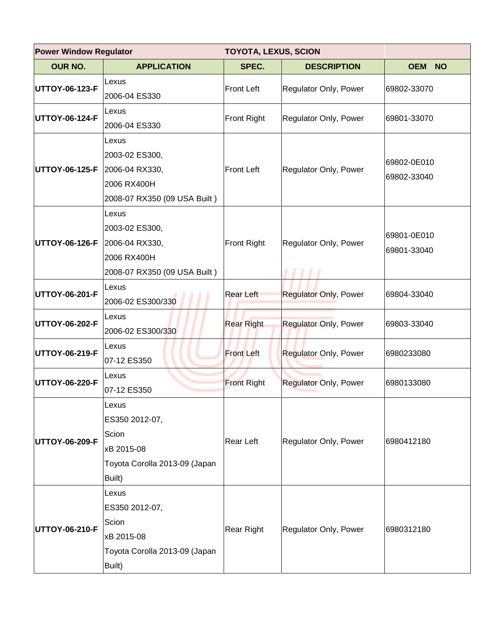| <b>Power Window Regulator</b><br><b>TOYOTA, LEXUS, SCION</b> |                                                                                           |                    |                              |                            |
|--------------------------------------------------------------|-------------------------------------------------------------------------------------------|--------------------|------------------------------|----------------------------|
| <b>OUR NO.</b>                                               | <b>APPLICATION</b>                                                                        | SPEC.              | <b>DESCRIPTION</b>           | OEM NO                     |
| UTTOY-06-123-F                                               | Lexus<br>2006-04 ES330                                                                    | <b>Front Left</b>  | Regulator Only, Power        | 69802-33070                |
| UTTOY-06-124-F                                               | Lexus<br>2006-04 ES330                                                                    | <b>Front Right</b> | Regulator Only, Power        | 69801-33070                |
| UTTOY-06-125-F                                               | Lexus<br>2003-02 ES300,<br>2006-04 RX330,<br>2006 RX400H<br>2008-07 RX350 (09 USA Built)  | <b>Front Left</b>  | Regulator Only, Power        | 69802-0E010<br>69802-33040 |
| UTTOY-06-126-F                                               | Lexus<br>2003-02 ES300,<br>2006-04 RX330,<br>2006 RX400H<br>2008-07 RX350 (09 USA Built)  | Front Right        | Regulator Only, Power        | 69801-0E010<br>69801-33040 |
| UTTOY-06-201-F                                               | Lexus<br>2006-02 ES300/330                                                                | <b>Rear Left</b>   | <b>Regulator Only, Power</b> | 69804-33040                |
| UTTOY-06-202-F                                               | Lexus<br>2006-02 ES300/330                                                                | <b>Rear Right</b>  | <b>Regulator Only, Power</b> | 69803-33040                |
| UTTOY-06-219-F                                               | Lexus<br>07-12 ES350                                                                      | <b>Front Left</b>  | <b>Regulator Only, Power</b> | 6980233080                 |
| UTTOY-06-220-F                                               | lLexus<br>07-12 ES350                                                                     | <b>Front Right</b> | <b>Regulator Only, Power</b> | 6980133080                 |
| UTTOY-06-209-F                                               | Lexus<br>ES350 2012-07,<br>Scion<br>xB 2015-08<br>Toyota Corolla 2013-09 (Japan<br>Built) | Rear Left          | Regulator Only, Power        | 6980412180                 |
| UTTOY-06-210-F                                               | Lexus<br>ES350 2012-07,<br>Scion<br>xB 2015-08<br>Toyota Corolla 2013-09 (Japan<br>Built) | <b>Rear Right</b>  | Regulator Only, Power        | 6980312180                 |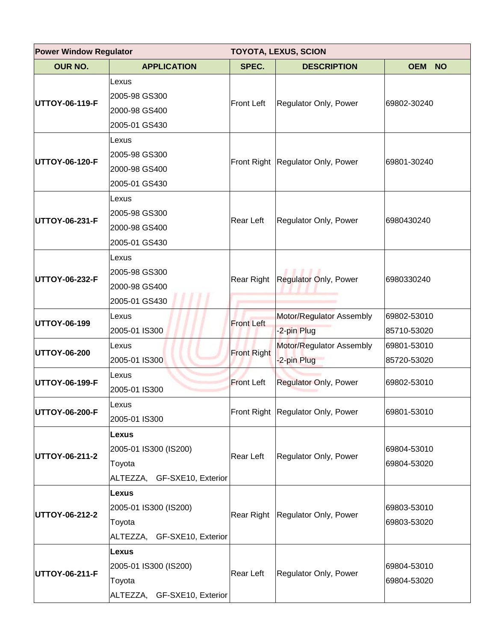| <b>Power Window Regulator</b><br><b>TOYOTA, LEXUS, SCION</b> |                                                                                |                    |                                         |                            |
|--------------------------------------------------------------|--------------------------------------------------------------------------------|--------------------|-----------------------------------------|----------------------------|
| <b>OUR NO.</b>                                               | <b>APPLICATION</b>                                                             | SPEC.              | <b>DESCRIPTION</b>                      | <b>OEM</b><br><b>NO</b>    |
| UTTOY-06-119-F                                               | Lexus<br>2005-98 GS300<br>2000-98 GS400<br>2005-01 GS430                       | <b>Front Left</b>  | Regulator Only, Power                   | 69802-30240                |
| UTTOY-06-120-F                                               | Lexus<br>2005-98 GS300<br>2000-98 GS400<br>2005-01 GS430                       |                    | Front Right Regulator Only, Power       | 69801-30240                |
| UTTOY-06-231-F                                               | Lexus<br>2005-98 GS300<br>2000-98 GS400<br>2005-01 GS430                       | Rear Left          | Regulator Only, Power                   | 6980430240                 |
| UTTOY-06-232-F                                               | Lexus<br>2005-98 GS300<br>2000-98 GS400<br>2005-01 GS430                       | Rear Right         | Regulator Only, Power                   | 6980330240                 |
| UTTOY-06-199                                                 | Lexus<br>2005-01 IS300                                                         | <b>Front Left</b>  | Motor/Regulator Assembly<br>-2-pin Plug | 69802-53010<br>85710-53020 |
| <b>UTTOY-06-200</b>                                          | Lexus<br>2005-01 IS300                                                         | <b>Front Right</b> | Motor/Regulator Assembly<br>-2-pin Plug | 69801-53010<br>85720-53020 |
| UTTOY-06-199-F                                               | Lexus<br>2005-01 IS300                                                         | <b>Front Left</b>  | <b>Regulator Only, Power</b>            | 69802-53010                |
| UTTOY-06-200-F                                               | Lexus<br>2005-01 IS300                                                         |                    | Front Right Regulator Only, Power       | 69801-53010                |
| UTTOY-06-211-2                                               | Lexus<br>2005-01 IS300 (IS200)<br>Toyota<br>ALTEZZA, GF-SXE10, Exterior        | Rear Left          | Regulator Only, Power                   | 69804-53010<br>69804-53020 |
| UTTOY-06-212-2                                               | <b>Lexus</b><br>2005-01 IS300 (IS200)<br>Toyota<br>ALTEZZA, GF-SXE10, Exterior | Rear Right         | Regulator Only, Power                   | 69803-53010<br>69803-53020 |
| UTTOY-06-211-F                                               | Lexus<br>2005-01 IS300 (IS200)<br>Toyota<br>ALTEZZA, GF-SXE10, Exterior        | Rear Left          | Regulator Only, Power                   | 69804-53010<br>69804-53020 |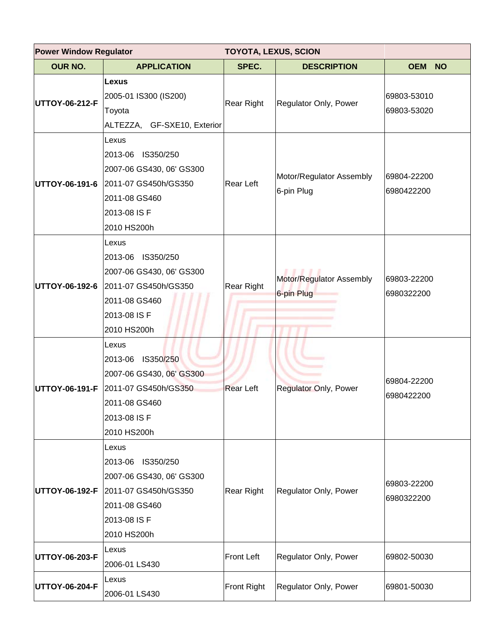| <b>Power Window Regulator</b><br><b>TOYOTA, LEXUS, SCION</b> |                                                                                                                                               |                  |                                        |                            |
|--------------------------------------------------------------|-----------------------------------------------------------------------------------------------------------------------------------------------|------------------|----------------------------------------|----------------------------|
| <b>OUR NO.</b>                                               | <b>APPLICATION</b>                                                                                                                            | SPEC.            | <b>DESCRIPTION</b>                     | <b>OEM</b><br><b>NO</b>    |
| <b>UTTOY-06-212-F</b>                                        | Lexus<br>2005-01 IS300 (IS200)<br>Toyota<br>ALTEZZA, GF-SXE10, Exterior                                                                       | Rear Right       | Regulator Only, Power                  | 69803-53010<br>69803-53020 |
| UTTOY-06-191-6                                               | Lexus<br>2013-06 IS350/250<br>2007-06 GS430, 06' GS300<br>2011-07 GS450h/GS350<br>2011-08 GS460<br>2013-08 IS F<br>2010 HS200h                | Rear Left        | Motor/Regulator Assembly<br>6-pin Plug | 69804-22200<br>6980422200  |
|                                                              | Lexus<br>2013-06 IS350/250<br>2007-06 GS430, 06' GS300<br>UTTOY-06-192-6 2011-07 GS450h/GS350<br>2011-08 GS460<br>2013-08 IS F<br>2010 HS200h | Rear Right       | Motor/Regulator Assembly<br>6-pin Plug | 69803-22200<br>6980322200  |
| <b>UTTOY-06-191-F</b>                                        | Lexus<br>2013-06 IS350/250<br>2007-06 GS430, 06' GS300<br>2011-07 GS450h/GS350<br>2011-08 GS460<br>2013-08 IS F<br>2010 HS200h                | <b>Rear Left</b> | Regulator Only, Power                  | 69804-22200<br>6980422200  |
|                                                              | Lexus<br>2013-06 IS350/250<br>2007-06 GS430, 06' GS300<br>UTTOY-06-192-F 2011-07 GS450h/GS350<br>2011-08 GS460<br>2013-08 IS F<br>2010 HS200h | Rear Right       | Regulator Only, Power                  | 69803-22200<br>6980322200  |
| <b>UTTOY-06-203-F</b>                                        | Lexus<br>2006-01 LS430                                                                                                                        | Front Left       | Regulator Only, Power                  | 69802-50030                |
| <b>UTTOY-06-204-F</b>                                        | Lexus<br>2006-01 LS430                                                                                                                        | Front Right      | Regulator Only, Power                  | 69801-50030                |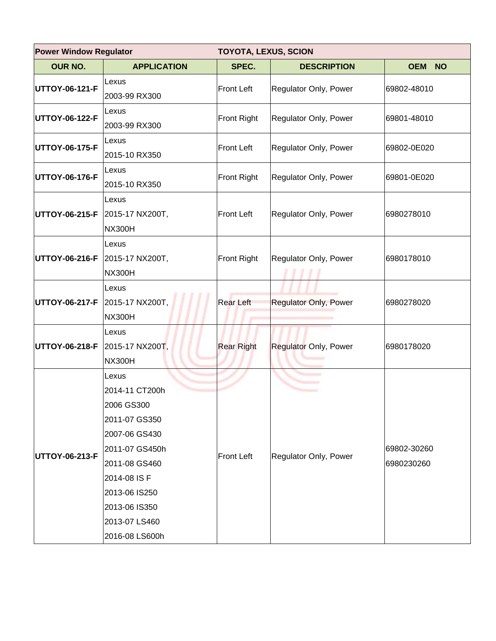| <b>Power Window Regulator</b>  |                                                                                                                                                                                                 | <b>TOYOTA, LEXUS, SCION</b> |                              |                           |  |
|--------------------------------|-------------------------------------------------------------------------------------------------------------------------------------------------------------------------------------------------|-----------------------------|------------------------------|---------------------------|--|
| OUR NO.                        | <b>APPLICATION</b>                                                                                                                                                                              | SPEC.                       | <b>DESCRIPTION</b>           | <b>OEM</b><br><b>NO</b>   |  |
| UTTOY-06-121-F                 | Lexus<br>2003-99 RX300                                                                                                                                                                          | <b>Front Left</b>           | Regulator Only, Power        | 69802-48010               |  |
| UTTOY-06-122-F                 | Lexus<br>2003-99 RX300                                                                                                                                                                          | <b>Front Right</b>          | Regulator Only, Power        | 69801-48010               |  |
| UTTOY-06-175-F                 | Lexus<br>2015-10 RX350                                                                                                                                                                          | <b>Front Left</b>           | Regulator Only, Power        | 69802-0E020               |  |
| UTTOY-06-176-F                 | Lexus<br>2015-10 RX350                                                                                                                                                                          | <b>Front Right</b>          | Regulator Only, Power        | 69801-0E020               |  |
| UTTOY-06-215-F 2015-17 NX200T, | Lexus<br><b>NX300H</b>                                                                                                                                                                          | <b>Front Left</b>           | Regulator Only, Power        | 6980278010                |  |
| UTTOY-06-216-F 2015-17 NX200T, | Lexus<br><b>NX300H</b>                                                                                                                                                                          | <b>Front Right</b>          | Regulator Only, Power        | 6980178010                |  |
| UTTOY-06-217-F 2015-17 NX200T, | Lexus<br><b>NX300H</b>                                                                                                                                                                          | <b>Rear Left</b>            | Regulator Only, Power        | 6980278020                |  |
| UTTOY-06-218-F                 | Lexus<br>2015-17 NX200T,<br><b>NX300H</b>                                                                                                                                                       | <b>Rear Right</b>           | <b>Regulator Only, Power</b> | 6980178020                |  |
| UTTOY-06-213-F                 | Lexus<br>2014-11 CT200h<br>2006 GS300<br>2011-07 GS350<br>2007-06 GS430<br>2011-07 GS450h<br>2011-08 GS460<br>2014-08 IS F<br>2013-06 IS250<br>2013-06 IS350<br>2013-07 LS460<br>2016-08 LS600h | <b>Front Left</b>           | Regulator Only, Power        | 69802-30260<br>6980230260 |  |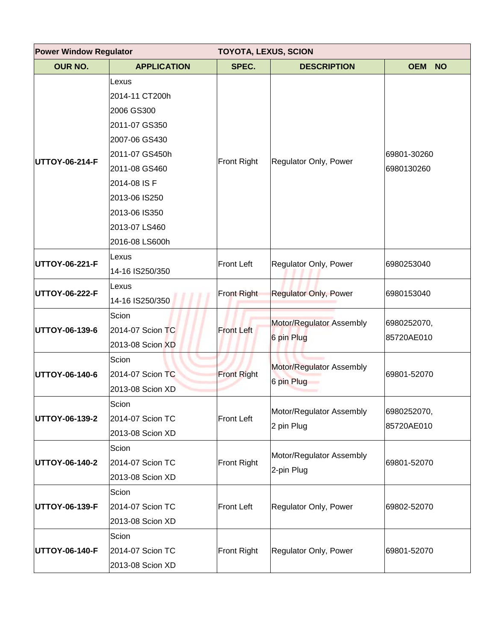| <b>Power Window Regulator</b> |                                                                                                                            | <b>TOYOTA, LEXUS, SCION</b> |                                        |                           |  |
|-------------------------------|----------------------------------------------------------------------------------------------------------------------------|-----------------------------|----------------------------------------|---------------------------|--|
| OUR NO.                       | <b>APPLICATION</b>                                                                                                         | SPEC.                       | <b>DESCRIPTION</b>                     | <b>OEM</b><br><b>NO</b>   |  |
| UTTOY-06-214-F                | Lexus<br>2014-11 CT200h<br>2006 GS300<br>2011-07 GS350<br>2007-06 GS430<br>2011-07 GS450h<br>2011-08 GS460<br>2014-08 IS F | Front Right                 | Regulator Only, Power                  | 69801-30260<br>6980130260 |  |
|                               | 2013-06 IS250<br>2013-06 IS350<br>2013-07 LS460<br>2016-08 LS600h                                                          | <b>Front Left</b>           |                                        |                           |  |
| UTTOY-06-221-F                | Lexus<br>14-16 IS250/350                                                                                                   |                             | Regulator Only, Power                  | 6980253040                |  |
| UTTOY-06-222-F                | Lexus<br>14-16 IS250/350                                                                                                   | <b>Front Right</b>          | <b>Regulator Only, Power</b>           | 6980153040                |  |
| UTTOY-06-139-6                | Scion<br>2014-07 Scion TC<br>2013-08 Scion XD                                                                              | <b>Front Left</b>           | Motor/Regulator Assembly<br>6 pin Plug | 6980252070,<br>85720AE010 |  |
| UTTOY-06-140-6                | Scion<br>2014-07 Scion TC<br>2013-08 Scion XD                                                                              | <b>Front Right</b>          | Motor/Regulator Assembly<br>6 pin Plug | 69801-52070               |  |
| UTTOY-06-139-2                | Scion<br>2014-07 Scion TC<br>2013-08 Scion XD                                                                              | <b>Front Left</b>           | Motor/Regulator Assembly<br>2 pin Plug | 6980252070,<br>85720AE010 |  |
| UTTOY-06-140-2                | Scion<br>2014-07 Scion TC<br>2013-08 Scion XD                                                                              | <b>Front Right</b>          | Motor/Regulator Assembly<br>2-pin Plug | 69801-52070               |  |
| UTTOY-06-139-F                | Scion<br>2014-07 Scion TC<br>2013-08 Scion XD                                                                              | <b>Front Left</b>           | Regulator Only, Power                  | 69802-52070               |  |
| UTTOY-06-140-F                | Scion<br>2014-07 Scion TC<br>2013-08 Scion XD                                                                              | <b>Front Right</b>          | Regulator Only, Power                  | 69801-52070               |  |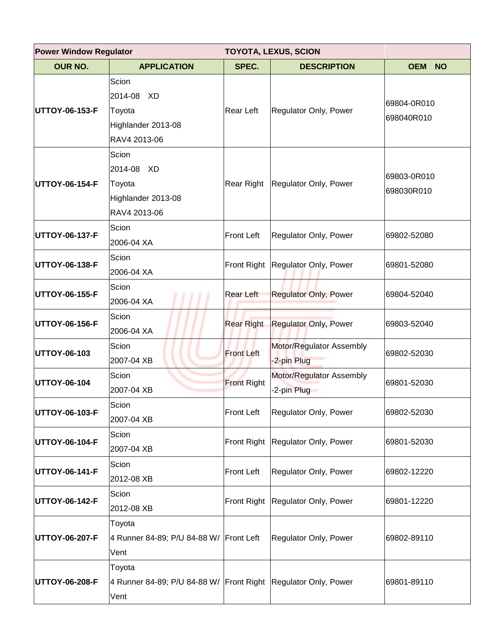| <b>Power Window Regulator</b><br><b>TOYOTA, LEXUS, SCION</b> |                                                                                  |                    |                                         |                           |
|--------------------------------------------------------------|----------------------------------------------------------------------------------|--------------------|-----------------------------------------|---------------------------|
| <b>OUR NO.</b>                                               | <b>APPLICATION</b>                                                               | SPEC.              | <b>DESCRIPTION</b>                      | <b>OEM</b><br><b>NO</b>   |
| UTTOY-06-153-F                                               | Scion<br>2014-08<br>XD<br>Toyota<br>Highlander 2013-08<br>RAV4 2013-06           | Rear Left          | Regulator Only, Power                   | 69804-0R010<br>698040R010 |
| UTTOY-06-154-F                                               | Scion<br>2014-08 XD<br>Toyota<br>Highlander 2013-08<br>RAV4 2013-06              | Rear Right         | Regulator Only, Power                   | 69803-0R010<br>698030R010 |
| UTTOY-06-137-F                                               | Scion<br>2006-04 XA                                                              | <b>Front Left</b>  | Regulator Only, Power                   | 69802-52080               |
| UTTOY-06-138-F                                               | Scion<br>2006-04 XA                                                              | <b>Front Right</b> | Regulator Only, Power                   | 69801-52080               |
| UTTOY-06-155-F                                               | Scion<br>2006-04 XA                                                              | <b>Rear Left</b>   | <b>Regulator Only, Power</b>            | 69804-52040               |
| UTTOY-06-156-F                                               | Scion<br>2006-04 XA                                                              | <b>Rear Right</b>  | <b>Regulator Only, Power</b>            | 69803-52040               |
| UTTOY-06-103                                                 | Scion<br>2007-04 XB                                                              | <b>Front Left</b>  | Motor/Regulator Assembly<br>-2-pin Plug | 69802-52030               |
| UTTOY-06-104                                                 | Scion<br>2007-04 XB                                                              | <b>Front Right</b> | Motor/Regulator Assembly<br>-2-pin Plug | 69801-52030               |
| UTTOY-06-103-F                                               | Scion<br>2007-04 XB                                                              | <b>Front Left</b>  | Regulator Only, Power                   | 69802-52030               |
| UTTOY-06-104-F                                               | Scion<br>2007-04 XB                                                              | Front Right        | Regulator Only, Power                   | 69801-52030               |
| UTTOY-06-141-F                                               | Scion<br>2012-08 XB                                                              | <b>Front Left</b>  | Regulator Only, Power                   | 69802-12220               |
| UTTOY-06-142-F                                               | Scion<br>2012-08 XB                                                              | <b>Front Right</b> | Regulator Only, Power                   | 69801-12220               |
| UTTOY-06-207-F                                               | Toyota<br>4 Runner 84-89; P/U 84-88 W/ Front Left<br>Vent                        |                    | Regulator Only, Power                   | 69802-89110               |
| UTTOY-06-208-F                                               | Toyota<br>4 Runner 84-89; P/U 84-88 W/ Front Right Regulator Only, Power<br>Vent |                    |                                         | 69801-89110               |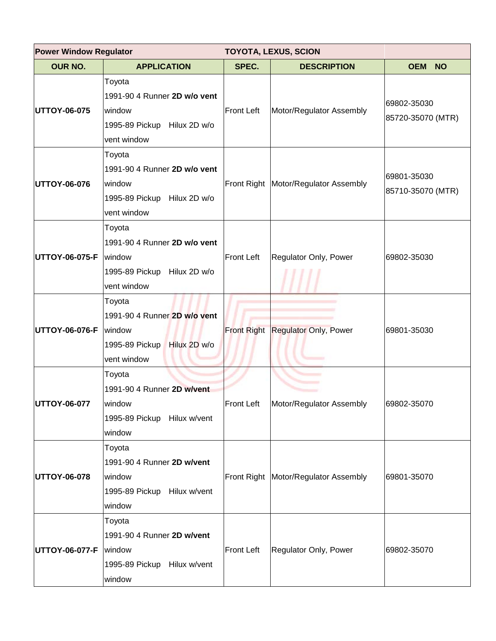| <b>Power Window Regulator</b> |                                                                                                   | <b>TOYOTA, LEXUS, SCION</b> |                                        |                                  |
|-------------------------------|---------------------------------------------------------------------------------------------------|-----------------------------|----------------------------------------|----------------------------------|
| <b>OUR NO.</b>                | <b>APPLICATION</b>                                                                                | SPEC.                       | <b>DESCRIPTION</b>                     | <b>OEM</b><br><b>NO</b>          |
| <b>UTTOY-06-075</b>           | Toyota<br>1991-90 4 Runner 2D w/o vent<br>window<br>1995-89 Pickup Hilux 2D w/o<br>vent window    | Front Left                  | Motor/Regulator Assembly               | 69802-35030<br>85720-35070 (MTR) |
| <b>UTTOY-06-076</b>           | Toyota<br>1991-90 4 Runner 2D w/o vent<br>window<br>1995-89 Pickup Hilux 2D w/o<br>vent window    |                             | Front Right   Motor/Regulator Assembly | 69801-35030<br>85710-35070 (MTR) |
| <b>UTTOY-06-075-F</b>         | Toyota<br>1991-90 4 Runner 2D w/o vent<br>window<br>1995-89 Pickup Hilux 2D w/o<br>vent window    | Front Left                  | Regulator Only, Power                  | 69802-35030                      |
| UTTOY-06-076-F                | Toyota<br>1991-90 4 Runner 2D w/o vent<br>window<br>Hilux 2D w/o<br>1995-89 Pickup<br>vent window |                             | Front Right Regulator Only, Power      | 69801-35030                      |
| UTTOY-06-077                  | Toyota<br>1991-90 4 Runner 2D w/vent<br>window<br>1995-89 Pickup Hilux w/vent<br>window           | Front Left                  | Motor/Regulator Assembly               | 69802-35070                      |
| <b>UTTOY-06-078</b>           | Toyota<br>1991-90 4 Runner 2D w/vent<br>window<br>1995-89 Pickup Hilux w/vent<br>window           |                             | Front Right   Motor/Regulator Assembly | 69801-35070                      |
| <b>UTTOY-06-077-F</b>         | Toyota<br>1991-90 4 Runner 2D w/vent<br>window<br>1995-89 Pickup Hilux w/vent<br>window           | Front Left                  | Regulator Only, Power                  | 69802-35070                      |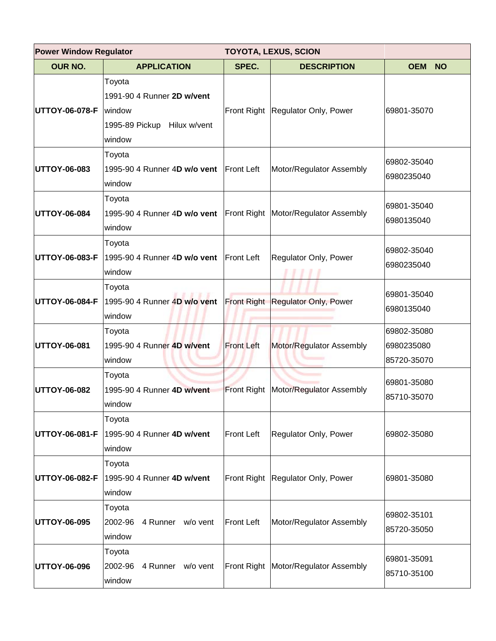| <b>Power Window Regulator</b><br><b>TOYOTA, LEXUS, SCION</b> |                                                                                         |                   |                                          |                                          |
|--------------------------------------------------------------|-----------------------------------------------------------------------------------------|-------------------|------------------------------------------|------------------------------------------|
| <b>OUR NO.</b>                                               | <b>APPLICATION</b>                                                                      | SPEC.             | <b>DESCRIPTION</b>                       | <b>OEM</b><br><b>NO</b>                  |
| <b>UTTOY-06-078-F</b>                                        | Toyota<br>1991-90 4 Runner 2D w/vent<br>window<br>1995-89 Pickup Hilux w/vent<br>window |                   | Front Right Regulator Only, Power        | 69801-35070                              |
| <b>UTTOY-06-083</b>                                          | Toyota<br>1995-90 4 Runner 4D w/o vent<br>window                                        | <b>Front Left</b> | Motor/Regulator Assembly                 | 69802-35040<br>6980235040                |
| <b>UTTOY-06-084</b>                                          | Toyota<br>1995-90 4 Runner 4D w/o vent<br>window                                        |                   | Front Right Motor/Regulator Assembly     | 69801-35040<br>6980135040                |
| <b>UTTOY-06-083-F</b>                                        | Toyota<br>1995-90 4 Runner 4D w/o vent<br>window                                        | <b>Front Left</b> | Regulator Only, Power                    | 69802-35040<br>6980235040                |
| <b>UTTOY-06-084-F</b>                                        | Toyota<br>1995-90 4 Runner 4D w/o vent<br>window                                        |                   | <b>Front Right Regulator Only, Power</b> | 69801-35040<br>6980135040                |
| <b>UTTOY-06-081</b>                                          | Toyota<br>1995-90 4 Runner 4D w/vent<br>window                                          | <b>Front Left</b> | Motor/Regulator Assembly                 | 69802-35080<br>6980235080<br>85720-35070 |
| <b>UTTOY-06-082</b>                                          | Toyota<br>1995-90 4 Runner 4D w/vent<br>window                                          |                   | Front Right   Motor/Regulator Assembly   | 69801-35080<br>85710-35070               |
| <b>UTTOY-06-081-F</b>                                        | Toyota<br>1995-90 4 Runner 4D w/vent<br>window                                          | <b>Front Left</b> | Regulator Only, Power                    | 69802-35080                              |
| <b>UTTOY-06-082-F</b>                                        | Toyota<br>1995-90 4 Runner 4D w/vent<br>window                                          |                   | Front Right Regulator Only, Power        | 69801-35080                              |
| <b>UTTOY-06-095</b>                                          | Toyota<br>2002-96<br>4 Runner w/o vent<br>window                                        | <b>Front Left</b> | Motor/Regulator Assembly                 | 69802-35101<br>85720-35050               |
| <b>UTTOY-06-096</b>                                          | Toyota<br>2002-96<br>4 Runner w/o vent<br>window                                        |                   | Front Right Motor/Regulator Assembly     | 69801-35091<br>85710-35100               |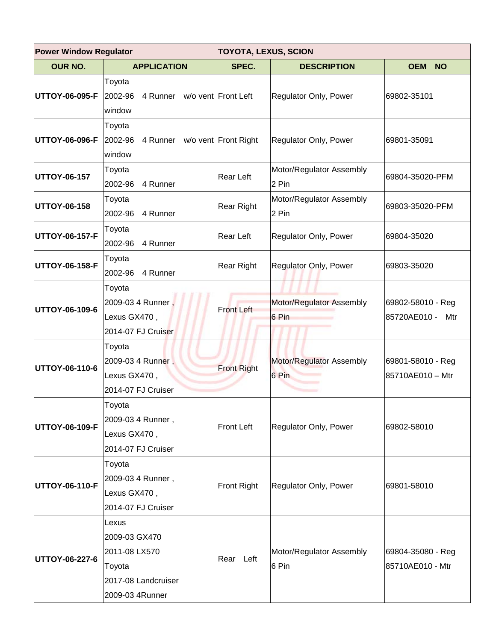|                | <b>Power Window Regulator</b><br><b>TOYOTA, LEXUS, SCION</b>                                |                    |                                   |                                          |
|----------------|---------------------------------------------------------------------------------------------|--------------------|-----------------------------------|------------------------------------------|
| <b>OUR NO.</b> | <b>APPLICATION</b>                                                                          | SPEC.              | <b>DESCRIPTION</b>                | <b>OEM</b><br><b>NO</b>                  |
| UTTOY-06-095-F | Toyota<br>4 Runner w/o vent Front Left<br>2002-96<br>window                                 |                    | Regulator Only, Power             | 69802-35101                              |
| UTTOY-06-096-F | Toyota<br>2002-96<br>4 Runner w/o vent Front Right<br>window                                |                    | Regulator Only, Power             | 69801-35091                              |
| UTTOY-06-157   | Toyota<br>2002-96<br>4 Runner                                                               | Rear Left          | Motor/Regulator Assembly<br>2 Pin | 69804-35020-PFM                          |
| UTTOY-06-158   | Toyota<br>2002-96<br>4 Runner                                                               | Rear Right         | Motor/Regulator Assembly<br>2 Pin | 69803-35020-PFM                          |
| UTTOY-06-157-F | Toyota<br>2002-96<br>4 Runner                                                               | Rear Left          | Regulator Only, Power             | 69804-35020                              |
| UTTOY-06-158-F | Toyota<br>2002-96<br>4 Runner                                                               | Rear Right         | Regulator Only, Power             | 69803-35020                              |
| UTTOY-06-109-6 | Toyota<br>2009-03 4 Runner,<br>Lexus GX470,<br>2014-07 FJ Cruiser                           | <b>Front Left</b>  | Motor/Regulator Assembly<br>6 Pin | 69802-58010 - Reg<br>85720AE010 -<br>Mtr |
| UTTOY-06-110-6 | Toyota<br>2009-03 4 Runner,<br>Lexus GX470,<br>2014-07 FJ Cruiser                           | <b>Front Right</b> | Motor/Regulator Assembly<br>6 Pin | 69801-58010 - Reg<br>85710AE010 - Mtr    |
| UTTOY-06-109-F | Toyota<br>2009-03 4 Runner,<br>Lexus GX470,<br>2014-07 FJ Cruiser                           | <b>Front Left</b>  | Regulator Only, Power             | 69802-58010                              |
| UTTOY-06-110-F | Toyota<br>2009-03 4 Runner,<br>Lexus GX470,<br>2014-07 FJ Cruiser                           | Front Right        | Regulator Only, Power             | 69801-58010                              |
| UTTOY-06-227-6 | Lexus<br>2009-03 GX470<br>2011-08 LX570<br>Toyota<br>2017-08 Landcruiser<br>2009-03 4Runner | Rear Left          | Motor/Regulator Assembly<br>6 Pin | 69804-35080 - Reg<br>85710AE010 - Mtr    |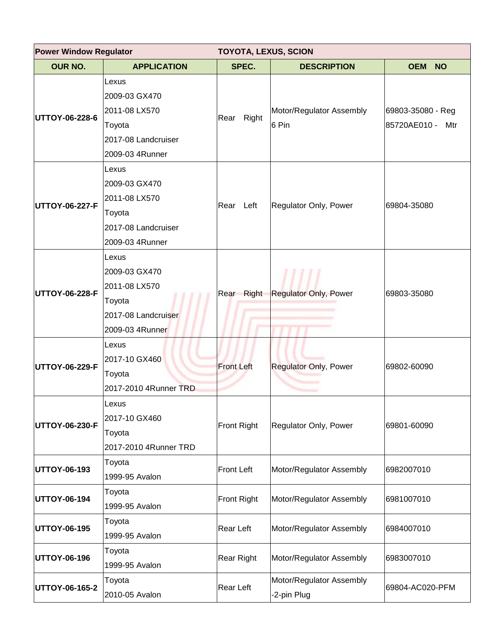| <b>Power Window Regulator</b> |                                                                                             | <b>TOYOTA, LEXUS, SCION</b> |                                         |                                          |  |
|-------------------------------|---------------------------------------------------------------------------------------------|-----------------------------|-----------------------------------------|------------------------------------------|--|
| <b>OUR NO.</b>                | <b>APPLICATION</b>                                                                          | SPEC.                       | <b>DESCRIPTION</b>                      | <b>OEM</b><br><b>NO</b>                  |  |
| UTTOY-06-228-6                | Lexus<br>2009-03 GX470<br>2011-08 LX570<br>Toyota<br>2017-08 Landcruiser<br>2009-03 4Runner | Right<br>Rear               | Motor/Regulator Assembly<br>6 Pin       | 69803-35080 - Reg<br>85720AE010 -<br>Mtr |  |
| UTTOY-06-227-F                | Lexus<br>2009-03 GX470<br>2011-08 LX570<br>Toyota<br>2017-08 Landcruiser<br>2009-03 4Runner | Rear Left                   | Regulator Only, Power                   | 69804-35080                              |  |
| UTTOY-06-228-F                | Lexus<br>2009-03 GX470<br>2011-08 LX570<br>Toyota<br>2017-08 Landcruiser<br>2009-03 4Runner | Right<br>Rear               | <b>Regulator Only, Power</b>            | 69803-35080                              |  |
| UTTOY-06-229-F                | Lexus<br>2017-10 GX460<br>Toyota<br>2017-2010 4Runner TRD                                   | <b>Front Left</b>           | <b>Regulator Only, Power</b>            | 69802-60090                              |  |
| UTTOY-06-230-F                | Lexus<br>2017-10 GX460<br>Toyota<br>2017-2010 4Runner TRD                                   | <b>Front Right</b>          | Regulator Only, Power                   | 69801-60090                              |  |
| <b>UTTOY-06-193</b>           | Toyota<br>1999-95 Avalon                                                                    | Front Left                  | Motor/Regulator Assembly                | 6982007010                               |  |
| UTTOY-06-194                  | Toyota<br>1999-95 Avalon                                                                    | Front Right                 | Motor/Regulator Assembly                | 6981007010                               |  |
| UTTOY-06-195                  | Toyota<br>1999-95 Avalon                                                                    | Rear Left                   | Motor/Regulator Assembly                | 6984007010                               |  |
| UTTOY-06-196                  | Toyota<br>1999-95 Avalon                                                                    | Rear Right                  | Motor/Regulator Assembly                | 6983007010                               |  |
| UTTOY-06-165-2                | Toyota<br>2010-05 Avalon                                                                    | Rear Left                   | Motor/Regulator Assembly<br>-2-pin Plug | 69804-AC020-PFM                          |  |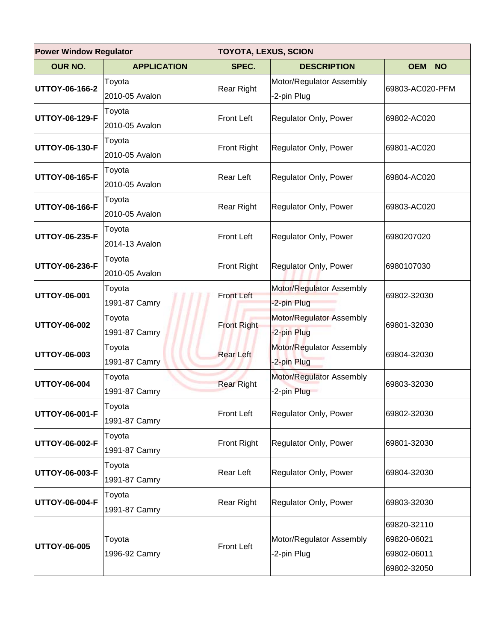| <b>Power Window Regulator</b> |                    | <b>TOYOTA, LEXUS, SCION</b> |                                         |                         |  |
|-------------------------------|--------------------|-----------------------------|-----------------------------------------|-------------------------|--|
| <b>OUR NO.</b>                | <b>APPLICATION</b> | SPEC.                       | <b>DESCRIPTION</b>                      | <b>OEM</b><br><b>NO</b> |  |
| UTTOY-06-166-2                | Toyota             | Rear Right                  | Motor/Regulator Assembly                | 69803-AC020-PFM         |  |
|                               | 2010-05 Avalon     |                             | -2-pin Plug                             |                         |  |
| UTTOY-06-129-F                | Toyota             | <b>Front Left</b>           | Regulator Only, Power                   | 69802-AC020             |  |
|                               | 2010-05 Avalon     |                             |                                         |                         |  |
| UTTOY-06-130-F                | Toyota             | Front Right                 | Regulator Only, Power                   | 69801-AC020             |  |
|                               | 2010-05 Avalon     |                             |                                         |                         |  |
| UTTOY-06-165-F                | Toyota             | <b>Rear Left</b>            | Regulator Only, Power                   | 69804-AC020             |  |
|                               | 2010-05 Avalon     |                             |                                         |                         |  |
| UTTOY-06-166-F                | Toyota             | Rear Right                  | Regulator Only, Power                   | 69803-AC020             |  |
|                               | 2010-05 Avalon     |                             |                                         |                         |  |
|                               | Toyota             | Front Left                  |                                         | 6980207020              |  |
| UTTOY-06-235-F                | 2014-13 Avalon     |                             | Regulator Only, Power                   |                         |  |
| UTTOY-06-236-F                | Toyota             | Front Right                 | Regulator Only, Power                   | 6980107030              |  |
|                               | 2010-05 Avalon     |                             |                                         |                         |  |
|                               | Toyota             | <b>Front Left</b>           | Motor/Regulator Assembly                | 69802-32030             |  |
| UTTOY-06-001                  | 1991-87 Camry      |                             | -2-pin Plug                             |                         |  |
|                               | Toyota             |                             | Motor/Regulator Assembly                | 69801-32030             |  |
| UTTOY-06-002                  | 1991-87 Camry      | <b>Front Right</b>          | -2-pin Plug                             |                         |  |
|                               | Toyota             |                             | Motor/Regulator Assembly                | 69804-32030             |  |
| UTTOY-06-003                  | 1991-87 Camry      | <b>Rear Left</b>            | -2-pin Plug                             |                         |  |
|                               | Toyota             |                             | Motor/Regulator Assembly<br>-2-pin Plug |                         |  |
| UTTOY-06-004                  | 1991-87 Camry      | <b>Rear Right</b>           |                                         | 69803-32030             |  |
| UTTOY-06-001-F                | Toyota             | Front Left                  | Regulator Only, Power                   |                         |  |
|                               | 1991-87 Camry      |                             |                                         | 69802-32030             |  |
|                               | Toyota             |                             |                                         |                         |  |
| UTTOY-06-002-F                | 1991-87 Camry      | <b>Front Right</b>          | Regulator Only, Power                   | 69801-32030             |  |
|                               | Toyota             |                             | Regulator Only, Power                   |                         |  |
| UTTOY-06-003-F                | 1991-87 Camry      | Rear Left                   |                                         | 69804-32030             |  |
|                               | Toyota             |                             |                                         |                         |  |
| UTTOY-06-004-F                | 1991-87 Camry      | Rear Right                  | Regulator Only, Power                   | 69803-32030             |  |
|                               |                    |                             |                                         | 69820-32110             |  |
|                               | Toyota             |                             | Motor/Regulator Assembly                | 69820-06021             |  |
| UTTOY-06-005                  | 1996-92 Camry      | <b>Front Left</b>           | -2-pin Plug                             | 69802-06011             |  |
|                               |                    |                             |                                         | 69802-32050             |  |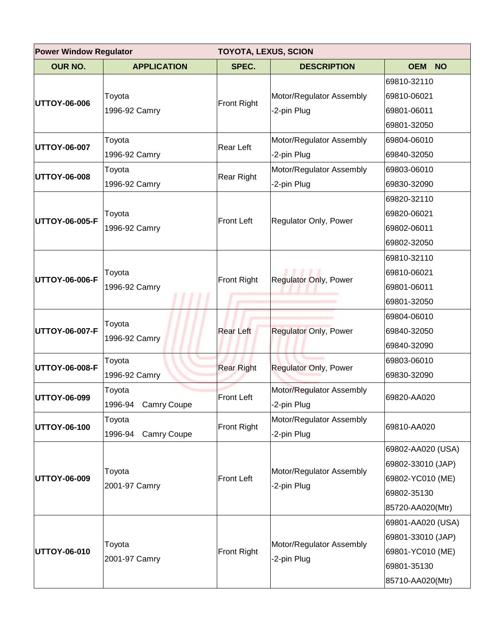| <b>Power Window Regulator</b><br><b>TOYOTA, LEXUS, SCION</b> |                                  |                    |                                         |                                                                                               |
|--------------------------------------------------------------|----------------------------------|--------------------|-----------------------------------------|-----------------------------------------------------------------------------------------------|
| <b>OUR NO.</b>                                               | <b>APPLICATION</b>               | SPEC.              | <b>DESCRIPTION</b>                      | <b>OEM</b><br><b>NO</b>                                                                       |
| UTTOY-06-006                                                 | Toyota<br>1996-92 Camry          | Front Right        | Motor/Regulator Assembly<br>-2-pin Plug | 69810-32110<br>69810-06021<br>69801-06011<br>69801-32050                                      |
| UTTOY-06-007                                                 | Toyota<br>1996-92 Camry          | <b>Rear Left</b>   | Motor/Regulator Assembly<br>-2-pin Plug | 69804-06010<br>69840-32050                                                                    |
| <b>UTTOY-06-008</b>                                          | Toyota<br>1996-92 Camry          | Rear Right         | Motor/Regulator Assembly<br>-2-pin Plug | 69803-06010<br>69830-32090                                                                    |
| UTTOY-06-005-F                                               | Toyota<br>1996-92 Camry          | <b>Front Left</b>  | Regulator Only, Power                   | 69820-32110<br>69820-06021<br>69802-06011<br>69802-32050                                      |
| UTTOY-06-006-F                                               | Toyota<br>1996-92 Camry          | Front Right        | <b>Regulator Only, Power</b>            | 69810-32110<br>69810-06021<br>69801-06011<br>69801-32050                                      |
| UTTOY-06-007-F                                               | Toyota<br>1996-92 Camry          | <b>Rear Left</b>   | <b>Regulator Only, Power</b>            | 69804-06010<br>69840-32050<br>69840-32090                                                     |
| UTTOY-06-008-F                                               | Toyota<br>1996-92 Camry          | <b>Rear Right</b>  | <b>Regulator Only, Power</b>            | 69803-06010<br>69830-32090                                                                    |
| UTTOY-06-099                                                 | Toyota<br>1996-94 Camry Coupe    | <b>Front Left</b>  | Motor/Regulator Assembly<br>-2-pin Plug | 69820-AA020                                                                                   |
| UTTOY-06-100                                                 | Toyota<br>Camry Coupe<br>1996-94 | <b>Front Right</b> | Motor/Regulator Assembly<br>-2-pin Plug | 69810-AA020                                                                                   |
| UTTOY-06-009                                                 | Toyota<br>2001-97 Camry          | <b>Front Left</b>  | Motor/Regulator Assembly<br>-2-pin Plug | 69802-AA020 (USA)<br>69802-33010 (JAP)<br>69802-YC010 (ME)<br>69802-35130<br>85720-AA020(Mtr) |
| UTTOY-06-010                                                 | Toyota<br>2001-97 Camry          | Front Right        | Motor/Regulator Assembly<br>-2-pin Plug | 69801-AA020 (USA)<br>69801-33010 (JAP)<br>69801-YC010 (ME)<br>69801-35130<br>85710-AA020(Mtr) |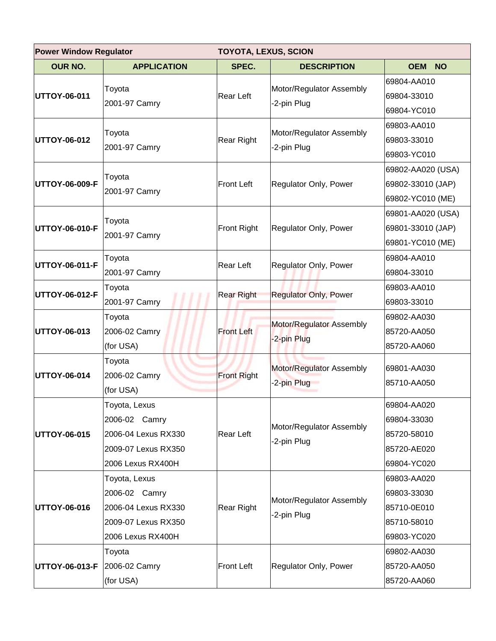| <b>Power Window Regulator</b><br><b>TOYOTA, LEXUS, SCION</b> |                         |                    |                                         |                         |
|--------------------------------------------------------------|-------------------------|--------------------|-----------------------------------------|-------------------------|
| <b>OUR NO.</b>                                               | <b>APPLICATION</b>      | SPEC.              | <b>DESCRIPTION</b>                      | <b>OEM</b><br><b>NO</b> |
|                                                              | Toyota                  |                    | Motor/Regulator Assembly                | 69804-AA010             |
| <b>UTTOY-06-011</b>                                          | 2001-97 Camry           | Rear Left          | -2-pin Plug                             | 69804-33010             |
|                                                              |                         |                    |                                         | 69804-YC010             |
|                                                              | Toyota                  |                    | Motor/Regulator Assembly                | 69803-AA010             |
| <b>UTTOY-06-012</b>                                          | 2001-97 Camry           | <b>Rear Right</b>  | -2-pin Plug                             | 69803-33010             |
|                                                              |                         |                    |                                         | 69803-YC010             |
|                                                              | Toyota                  |                    |                                         | 69802-AA020 (USA)       |
| <b>UTTOY-06-009-F</b>                                        | 2001-97 Camry           | <b>Front Left</b>  | Regulator Only, Power                   | 69802-33010 (JAP)       |
|                                                              |                         |                    |                                         | 69802-YC010 (ME)        |
|                                                              |                         |                    |                                         | 69801-AA020 (USA)       |
| <b>UTTOY-06-010-F</b>                                        | Toyota<br>2001-97 Camry | <b>Front Right</b> | Regulator Only, Power                   | 69801-33010 (JAP)       |
|                                                              |                         |                    |                                         | 69801-YC010 (ME)        |
|                                                              | Toyota                  | <b>Rear Left</b>   |                                         | 69804-AA010             |
| <b>UTTOY-06-011-F</b>                                        | 2001-97 Camry           |                    | Regulator Only, Power                   | 69804-33010             |
| <b>UTTOY-06-012-F</b>                                        | Toyota                  | <b>Rear Right</b>  | <b>Regulator Only, Power</b>            | 69803-AA010             |
|                                                              | 2001-97 Camry           |                    |                                         | 69803-33010             |
|                                                              | Toyota                  | <b>Front Left</b>  | Motor/Regulator Assembly<br>-2-pin Plug | 69802-AA030             |
| <b>UTTOY-06-013</b>                                          | 2006-02 Camry           |                    |                                         | 85720-AA050             |
|                                                              | (for USA)               |                    |                                         | 85720-AA060             |
|                                                              | Toyota                  |                    |                                         |                         |
| <b>UTTOY-06-014</b>                                          | 2006-02 Camry           | <b>Front Right</b> | Motor/Regulator Assembly<br>-2-pin Plug | 69801-AA030             |
|                                                              | (for USA)               |                    |                                         | 85710-AA050             |
|                                                              | Toyota, Lexus           |                    |                                         | 69804-AA020             |
|                                                              | 2006-02 Camry           |                    |                                         | 69804-33030             |
| <b>UTTOY-06-015</b>                                          | 2006-04 Lexus RX330     | <b>Rear Left</b>   | Motor/Regulator Assembly                | 85720-58010             |
|                                                              | 2009-07 Lexus RX350     |                    | -2-pin Plug                             | 85720-AE020             |
|                                                              | 2006 Lexus RX400H       |                    |                                         | 69804-YC020             |
|                                                              | Toyota, Lexus           |                    |                                         | 69803-AA020             |
|                                                              | 2006-02 Camry           |                    | Motor/Regulator Assembly                | 69803-33030             |
| <b>UTTOY-06-016</b>                                          | 2006-04 Lexus RX330     | Rear Right         | -2-pin Plug                             | 85710-0E010             |
|                                                              | 2009-07 Lexus RX350     |                    |                                         | 85710-58010             |
|                                                              | 2006 Lexus RX400H       |                    |                                         | 69803-YC020             |
|                                                              | Toyota                  |                    |                                         | 69802-AA030             |
| UTTOY-06-013-F 2006-02 Camry                                 |                         | <b>Front Left</b>  | Regulator Only, Power                   | 85720-AA050             |
|                                                              | (for USA)               |                    |                                         | 85720-AA060             |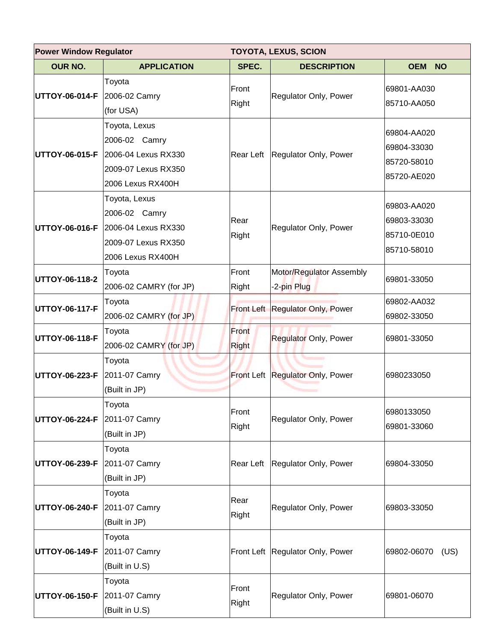| <b>Power Window Regulator</b><br><b>TOYOTA, LEXUS, SCION</b> |                                                                                                                  |                       |                                         |                                                          |
|--------------------------------------------------------------|------------------------------------------------------------------------------------------------------------------|-----------------------|-----------------------------------------|----------------------------------------------------------|
| <b>OUR NO.</b>                                               | <b>APPLICATION</b>                                                                                               | SPEC.                 | <b>DESCRIPTION</b>                      | <b>OEM</b><br><b>NO</b>                                  |
| UTTOY-06-014-F 2006-02 Camry                                 | Toyota<br>(for USA)                                                                                              | Front<br>Right        | Regulator Only, Power                   | 69801-AA030<br>85710-AA050                               |
|                                                              | Toyota, Lexus<br>2006-02 Camry<br>UTTOY-06-015-F 2006-04 Lexus RX330<br>2009-07 Lexus RX350<br>2006 Lexus RX400H |                       | Rear Left   Regulator Only, Power       | 69804-AA020<br>69804-33030<br>85720-58010<br>85720-AE020 |
|                                                              | Toyota, Lexus<br>2006-02 Camry<br>UTTOY-06-016-F 2006-04 Lexus RX330<br>2009-07 Lexus RX350<br>2006 Lexus RX400H | Rear<br>Right         | Regulator Only, Power                   | 69803-AA020<br>69803-33030<br>85710-0E010<br>85710-58010 |
| UTTOY-06-118-2                                               | Toyota<br>2006-02 CAMRY (for JP)                                                                                 | Front<br>Right        | Motor/Regulator Assembly<br>-2-pin Plug | 69801-33050                                              |
| UTTOY-06-117-F                                               | Toyota<br>2006-02 CAMRY (for JP)                                                                                 |                       | Front Left Regulator Only, Power        | 69802-AA032<br>69802-33050                               |
| UTTOY-06-118-F                                               | Toyota<br>2006-02 CAMRY (for JP)                                                                                 | Front<br><b>Right</b> | <b>Regulator Only, Power</b>            | 69801-33050                                              |
| UTTOY-06-223-F 2011-07 Camry                                 | Toyota<br>(Built in JP)                                                                                          |                       | Front Left Regulator Only, Power        | 6980233050                                               |
| UTTOY-06-224-F 2011-07 Camry                                 | Toyota<br>(Built in JP)                                                                                          | Front<br>Right        | Regulator Only, Power                   | 6980133050<br>69801-33060                                |
| UTTOY-06-239-F                                               | Toyota<br>2011-07 Camry<br>(Built in JP)                                                                         | Rear Left             | Regulator Only, Power                   | 69804-33050                                              |
| UTTOY-06-240-F                                               | Toyota<br>2011-07 Camry<br>(Built in JP)                                                                         | Rear<br>Right         | Regulator Only, Power                   | 69803-33050                                              |
| UTTOY-06-149-F 2011-07 Camry                                 | Toyota<br>(Built in U.S)                                                                                         |                       | Front Left   Regulator Only, Power      | 69802-06070<br>(US)                                      |
| UTTOY-06-150-F 2011-07 Camry                                 | Toyota<br>(Built in U.S)                                                                                         | Front<br>Right        | Regulator Only, Power                   | 69801-06070                                              |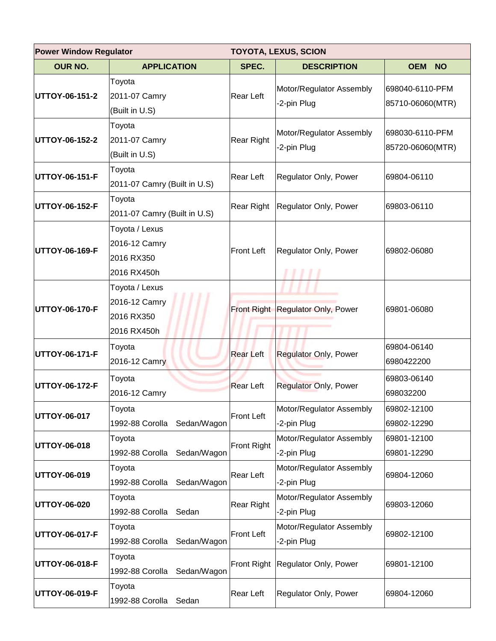| <b>Power Window Regulator</b><br><b>TOYOTA, LEXUS, SCION</b> |                                                              |                   |                                         |                                     |
|--------------------------------------------------------------|--------------------------------------------------------------|-------------------|-----------------------------------------|-------------------------------------|
| <b>OUR NO.</b>                                               | <b>APPLICATION</b>                                           | SPEC.             | <b>DESCRIPTION</b>                      | <b>OEM</b><br><b>NO</b>             |
| UTTOY-06-151-2                                               | Toyota<br>2011-07 Camry<br>(Built in U.S)                    | Rear Left         | Motor/Regulator Assembly<br>-2-pin Plug | 698040-6110-PFM<br>85710-06060(MTR) |
| UTTOY-06-152-2                                               | Toyota<br>2011-07 Camry<br>(Built in U.S)                    | <b>Rear Right</b> | Motor/Regulator Assembly<br>-2-pin Plug | 698030-6110-PFM<br>85720-06060(MTR) |
| UTTOY-06-151-F                                               | Toyota<br>2011-07 Camry (Built in U.S)                       | Rear Left         | Regulator Only, Power                   | 69804-06110                         |
| UTTOY-06-152-F                                               | Toyota<br>2011-07 Camry (Built in U.S)                       | Rear Right        | Regulator Only, Power                   | 69803-06110                         |
| UTTOY-06-169-F                                               | Toyota / Lexus<br>2016-12 Camry<br>2016 RX350<br>2016 RX450h | <b>Front Left</b> | Regulator Only, Power                   | 69802-06080                         |
| UTTOY-06-170-F                                               | Toyota / Lexus<br>2016-12 Camry<br>2016 RX350<br>2016 RX450h |                   | Front Right Regulator Only, Power       | 69801-06080                         |
| UTTOY-06-171-F                                               | Toyota<br>2016-12 Camry                                      | <b>Rear Left</b>  | <b>Regulator Only, Power</b>            | 69804-06140<br>6980422200           |
| UTTOY-06-172-F                                               | Toyota<br>2016-12 Camry                                      | <b>Rear Left</b>  | <b>Regulator Only, Power</b>            | 69803-06140<br>698032200            |
| UTTOY-06-017                                                 | Toyota<br>1992-88 Corolla<br>Sedan/Wagon                     | <b>Front Left</b> | Motor/Regulator Assembly<br>-2-pin Plug | 69802-12100<br>69802-12290          |
| UTTOY-06-018                                                 | Toyota<br>Sedan/Wagon<br>1992-88 Corolla                     | Front Right       | Motor/Regulator Assembly<br>-2-pin Plug | 69801-12100<br>69801-12290          |
| UTTOY-06-019                                                 | Toyota<br>Sedan/Wagon<br>1992-88 Corolla                     | Rear Left         | Motor/Regulator Assembly<br>-2-pin Plug | 69804-12060                         |
| UTTOY-06-020                                                 | Toyota<br>1992-88 Corolla<br>Sedan                           | <b>Rear Right</b> | Motor/Regulator Assembly<br>-2-pin Plug | 69803-12060                         |
| UTTOY-06-017-F                                               | Toyota<br>1992-88 Corolla<br>Sedan/Wagon                     | <b>Front Left</b> | Motor/Regulator Assembly<br>-2-pin Plug | 69802-12100                         |
| UTTOY-06-018-F                                               | Toyota<br>1992-88 Corolla<br>Sedan/Wagon                     | Front Right       | Regulator Only, Power                   | 69801-12100                         |
| UTTOY-06-019-F                                               | Toyota<br>1992-88 Corolla<br>Sedan                           | Rear Left         | Regulator Only, Power                   | 69804-12060                         |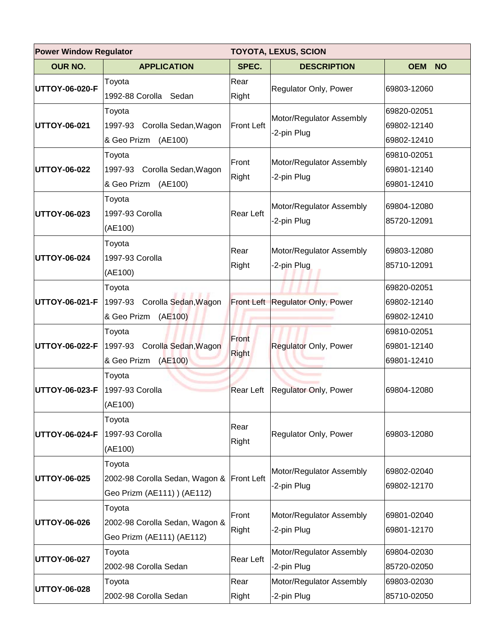| <b>Power Window Regulator</b><br><b>TOYOTA, LEXUS, SCION</b> |                                                                                 |                       |                                         |                                           |
|--------------------------------------------------------------|---------------------------------------------------------------------------------|-----------------------|-----------------------------------------|-------------------------------------------|
| <b>OUR NO.</b>                                               | <b>APPLICATION</b>                                                              | SPEC.                 | <b>DESCRIPTION</b>                      | <b>OEM</b><br><b>NO</b>                   |
| <b>UTTOY-06-020-F</b>                                        | Toyota<br>1992-88 Corolla Sedan                                                 | Rear<br>Right         | Regulator Only, Power                   | 69803-12060                               |
| <b>UTTOY-06-021</b>                                          | Toyota<br>1997-93 Corolla Sedan, Wagon<br>& Geo Prizm<br>(AE100)                | <b>Front Left</b>     | Motor/Regulator Assembly<br>-2-pin Plug | 69820-02051<br>69802-12140<br>69802-12410 |
| <b>UTTOY-06-022</b>                                          | Toyota<br>1997-93 Corolla Sedan, Wagon<br>& Geo Prizm<br>(AE100)                | Front<br>Right        | Motor/Regulator Assembly<br>-2-pin Plug | 69810-02051<br>69801-12140<br>69801-12410 |
| <b>UTTOY-06-023</b>                                          | Toyota<br>1997-93 Corolla<br>(AE100)                                            | Rear Left             | Motor/Regulator Assembly<br>-2-pin Plug | 69804-12080<br>85720-12091                |
| <b>UTTOY-06-024</b>                                          | Toyota<br>1997-93 Corolla<br>(AE100)                                            | Rear<br>Right         | Motor/Regulator Assembly<br>-2-pin Plug | 69803-12080<br>85710-12091                |
|                                                              | Toyota<br>UTTOY-06-021-F 1997-93 Corolla Sedan, Wagon<br>& Geo Prizm<br>(AE100) |                       | Front Left Regulator Only, Power        | 69820-02051<br>69802-12140<br>69802-12410 |
| UTTOY-06-022-F                                               | Toyota<br>1997-93 Corolla Sedan, Wagon<br>& Geo Prizm<br>(AE100)                | Front<br><b>Right</b> | <b>Regulator Only, Power</b>            | 69810-02051<br>69801-12140<br>69801-12410 |
| <b>UTTOY-06-023-F</b>                                        | Toyota<br>1997-93 Corolla<br>(AE100)                                            | Rear Left             | Regulator Only, Power                   | 69804-12080                               |
| <b>UTTOY-06-024-F</b>                                        | Toyota<br>1997-93 Corolla<br>(AE100)                                            | Rear<br>Right         | Regulator Only, Power                   | 69803-12080                               |
| <b>UTTOY-06-025</b>                                          | Toyota<br>2002-98 Corolla Sedan, Wagon &<br>Geo Prizm (AE111) ) (AE112)         | Front Left            | Motor/Regulator Assembly<br>-2-pin Plug | 69802-02040<br>69802-12170                |
| <b>UTTOY-06-026</b>                                          | Toyota<br>2002-98 Corolla Sedan, Wagon &<br>Geo Prizm (AE111) (AE112)           | Front<br>Right        | Motor/Regulator Assembly<br>-2-pin Plug | 69801-02040<br>69801-12170                |
| <b>UTTOY-06-027</b>                                          | Toyota<br>2002-98 Corolla Sedan                                                 | Rear Left             | Motor/Regulator Assembly<br>-2-pin Plug | 69804-02030<br>85720-02050                |
| <b>UTTOY-06-028</b>                                          | Toyota<br>2002-98 Corolla Sedan                                                 | Rear<br>Right         | Motor/Regulator Assembly<br>-2-pin Plug | 69803-02030<br>85710-02050                |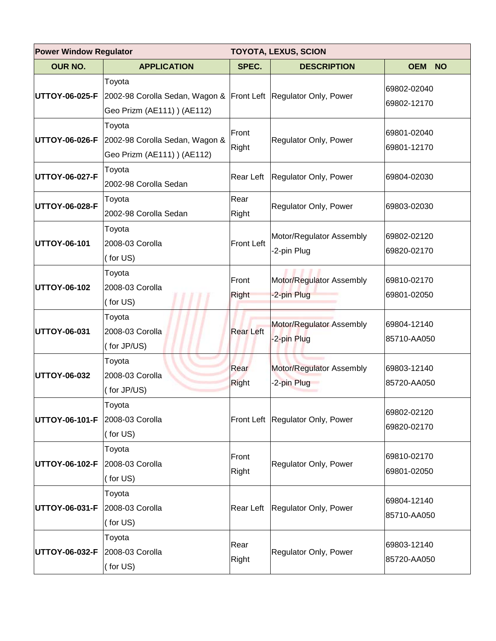| <b>Power Window Regulator</b><br><b>TOYOTA, LEXUS, SCION</b> |                                                                                                                         |                       |                                         |                            |
|--------------------------------------------------------------|-------------------------------------------------------------------------------------------------------------------------|-----------------------|-----------------------------------------|----------------------------|
| <b>OUR NO.</b>                                               | <b>APPLICATION</b>                                                                                                      | SPEC.                 | <b>DESCRIPTION</b>                      | <b>OEM</b><br><b>NO</b>    |
|                                                              | Toyota<br>UTTOY-06-025-F 2002-98 Corolla Sedan, Wagon & Front Left Regulator Only, Power<br>Geo Prizm (AE111) ) (AE112) |                       |                                         | 69802-02040<br>69802-12170 |
| UTTOY-06-026-F                                               | Toyota<br>2002-98 Corolla Sedan, Wagon &<br>Geo Prizm (AE111) ) (AE112)                                                 | Front<br>Right        | Regulator Only, Power                   | 69801-02040<br>69801-12170 |
| UTTOY-06-027-F                                               | Toyota<br>2002-98 Corolla Sedan                                                                                         | Rear Left             | Regulator Only, Power                   | 69804-02030                |
| UTTOY-06-028-F                                               | Toyota<br>2002-98 Corolla Sedan                                                                                         | Rear<br>Right         | Regulator Only, Power                   | 69803-02030                |
| UTTOY-06-101                                                 | Toyota<br>2008-03 Corolla<br>(for US)                                                                                   | <b>Front Left</b>     | Motor/Regulator Assembly<br>-2-pin Plug | 69802-02120<br>69820-02170 |
| UTTOY-06-102                                                 | Toyota<br>2008-03 Corolla<br>(for US)                                                                                   | Front<br><b>Right</b> | Motor/Regulator Assembly<br>-2-pin Plug | 69810-02170<br>69801-02050 |
| UTTOY-06-031                                                 | Toyota<br>2008-03 Corolla<br>(for JP/US)                                                                                | <b>Rear Left</b>      | Motor/Regulator Assembly<br>-2-pin Plug | 69804-12140<br>85710-AA050 |
| UTTOY-06-032                                                 | Toyota<br>2008-03 Corolla<br>(for JP/US)                                                                                | Rear<br><b>Right</b>  | Motor/Regulator Assembly<br>-2-pin Plug | 69803-12140<br>85720-AA050 |
| UTTOY-06-101-F                                               | Toyota<br>2008-03 Corolla<br>(for US)                                                                                   |                       | Front Left   Regulator Only, Power      | 69802-02120<br>69820-02170 |
| UTTOY-06-102-F                                               | Toyota<br>2008-03 Corolla<br>(for US)                                                                                   | Front<br>Right        | Regulator Only, Power                   | 69810-02170<br>69801-02050 |
| UTTOY-06-031-F                                               | Toyota<br>2008-03 Corolla<br>(for US)                                                                                   | Rear Left             | Regulator Only, Power                   | 69804-12140<br>85710-AA050 |
| UTTOY-06-032-F 2008-03 Corolla                               | Toyota<br>(for US)                                                                                                      | Rear<br>Right         | Regulator Only, Power                   | 69803-12140<br>85720-AA050 |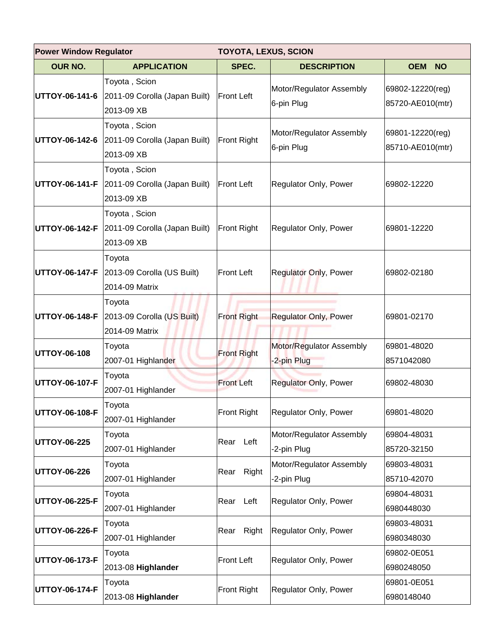| <b>Power Window Regulator</b><br><b>TOYOTA, LEXUS, SCION</b> |                                                              |                    |                                         |                                      |  |
|--------------------------------------------------------------|--------------------------------------------------------------|--------------------|-----------------------------------------|--------------------------------------|--|
| <b>OUR NO.</b>                                               | <b>APPLICATION</b>                                           | SPEC.              | <b>DESCRIPTION</b>                      | <b>OEM</b><br><b>NO</b>              |  |
| UTTOY-06-141-6                                               | Toyota, Scion<br>2011-09 Corolla (Japan Built)<br>2013-09 XB | <b>Front Left</b>  | Motor/Regulator Assembly<br>6-pin Plug  | 69802-12220(reg)<br>85720-AE010(mtr) |  |
| UTTOY-06-142-6                                               | Toyota, Scion<br>2011-09 Corolla (Japan Built)<br>2013-09 XB | <b>Front Right</b> | Motor/Regulator Assembly<br>6-pin Plug  | 69801-12220(reg)<br>85710-AE010(mtr) |  |
| UTTOY-06-141-F                                               | Toyota, Scion<br>2011-09 Corolla (Japan Built)<br>2013-09 XB | <b>Front Left</b>  | Regulator Only, Power                   | 69802-12220                          |  |
| UTTOY-06-142-F                                               | Toyota, Scion<br>2011-09 Corolla (Japan Built)<br>2013-09 XB | <b>Front Right</b> | Regulator Only, Power                   | 69801-12220                          |  |
| UTTOY-06-147-F                                               | Toyota<br>2013-09 Corolla (US Built)<br>2014-09 Matrix       | <b>Front Left</b>  | <b>Regulator Only, Power</b>            | 69802-02180                          |  |
| UTTOY-06-148-F                                               | Toyota<br>2013-09 Corolla (US Built)<br>2014-09 Matrix       | <b>Front Right</b> | <b>Regulator Only, Power</b>            | 69801-02170                          |  |
| UTTOY-06-108                                                 | Toyota<br>2007-01 Highlander                                 | <b>Front Right</b> | Motor/Regulator Assembly<br>-2-pin Plug | 69801-48020<br>8571042080            |  |
| UTTOY-06-107-F                                               | Toyota<br>2007-01 Highlander                                 | <b>Front Left</b>  | <b>Regulator Only, Power</b>            | 69802-48030                          |  |
| UTTOY-06-108-F                                               | Toyota<br>2007-01 Highlander                                 | <b>Front Right</b> | Regulator Only, Power                   | 69801-48020                          |  |
| <b>UTTOY-06-225</b>                                          | Toyota<br>2007-01 Highlander                                 | Rear Left          | Motor/Regulator Assembly<br>-2-pin Plug | 69804-48031<br>85720-32150           |  |
| UTTOY-06-226                                                 | Toyota<br>2007-01 Highlander                                 | Right<br>Rear      | Motor/Regulator Assembly<br>-2-pin Plug | 69803-48031<br>85710-42070           |  |
| UTTOY-06-225-F                                               | Toyota<br>2007-01 Highlander                                 | Rear Left          | Regulator Only, Power                   | 69804-48031<br>6980448030            |  |
| UTTOY-06-226-F                                               | Toyota<br>2007-01 Highlander                                 | Right<br>Rear      | Regulator Only, Power                   | 69803-48031<br>6980348030            |  |
| UTTOY-06-173-F                                               | Toyota<br>2013-08 Highlander                                 | <b>Front Left</b>  | Regulator Only, Power                   | 69802-0E051<br>6980248050            |  |
| UTTOY-06-174-F                                               | Toyota<br>2013-08 Highlander                                 | <b>Front Right</b> | Regulator Only, Power                   | 69801-0E051<br>6980148040            |  |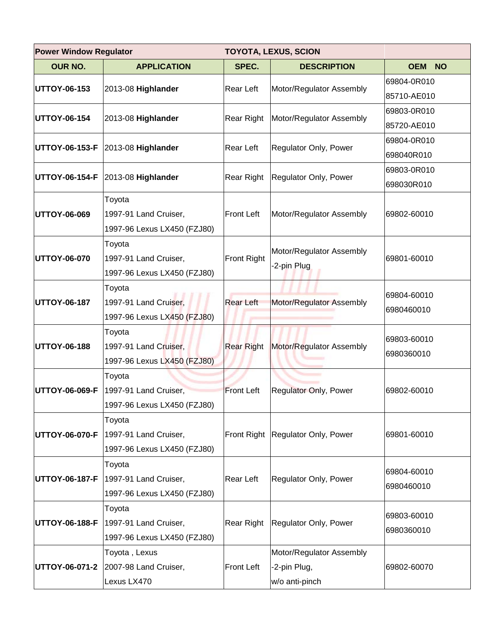| <b>Power Window Regulator</b><br><b>TOYOTA, LEXUS, SCION</b> |                                   |                    |                                   |                         |
|--------------------------------------------------------------|-----------------------------------|--------------------|-----------------------------------|-------------------------|
| <b>OUR NO.</b>                                               | <b>APPLICATION</b>                | SPEC.              | <b>DESCRIPTION</b>                | <b>OEM</b><br><b>NO</b> |
|                                                              |                                   |                    |                                   | 69804-0R010             |
| UTTOY-06-153                                                 | 2013-08 Highlander                | Rear Left          | Motor/Regulator Assembly          | 85710-AE010             |
| UTTOY-06-154                                                 | 2013-08 Highlander                | Rear Right         | Motor/Regulator Assembly          | 69803-0R010             |
|                                                              |                                   |                    |                                   | 85720-AE010             |
|                                                              | UTTOY-06-153-F 2013-08 Highlander | Rear Left          | Regulator Only, Power             | 69804-0R010             |
|                                                              |                                   |                    |                                   | 698040R010              |
|                                                              | UTTOY-06-154-F 2013-08 Highlander | Rear Right         | Regulator Only, Power             | 69803-0R010             |
|                                                              |                                   |                    |                                   | 698030R010              |
|                                                              | Toyota                            |                    |                                   |                         |
| UTTOY-06-069                                                 | 1997-91 Land Cruiser,             | <b>Front Left</b>  | Motor/Regulator Assembly          | 69802-60010             |
|                                                              | 1997-96 Lexus LX450 (FZJ80)       |                    |                                   |                         |
|                                                              | Toyota                            | <b>Front Right</b> | Motor/Regulator Assembly          |                         |
| <b>UTTOY-06-070</b>                                          | 1997-91 Land Cruiser,             |                    | -2-pin Plug                       | 69801-60010             |
|                                                              | 1997-96 Lexus LX450 (FZJ80)       |                    |                                   |                         |
| UTTOY-06-187                                                 | Toyota                            | <b>Rear Left</b>   |                                   | 69804-60010             |
|                                                              | 1997-91 Land Cruiser,             |                    | Motor/Regulator Assembly          | 6980460010              |
|                                                              | 1997-96 Lexus LX450 (FZJ80)       |                    |                                   |                         |
|                                                              | Toyota                            |                    | Motor/Regulator Assembly          | 69803-60010             |
| UTTOY-06-188                                                 | 1997-91 Land Cruiser,             | <b>Rear Right</b>  |                                   | 6980360010              |
|                                                              | 1997-96 Lexus LX450 (FZJ80)       |                    |                                   |                         |
|                                                              | Toyota                            |                    |                                   |                         |
| UTTOY-06-069-F                                               | 1997-91 Land Cruiser,             | <b>Front Left</b>  | Regulator Only, Power             | 69802-60010             |
|                                                              | 1997-96 Lexus LX450 (FZJ80)       |                    |                                   |                         |
|                                                              | Toyota                            |                    |                                   |                         |
| UTTOY-06-070-F                                               | 1997-91 Land Cruiser,             |                    | Front Right Regulator Only, Power | 69801-60010             |
|                                                              | 1997-96 Lexus LX450 (FZJ80)       |                    |                                   |                         |
|                                                              | Toyota                            |                    |                                   | 69804-60010             |
| UTTOY-06-187-F                                               | 1997-91 Land Cruiser,             | Rear Left          | Regulator Only, Power             | 6980460010              |
|                                                              | 1997-96 Lexus LX450 (FZJ80)       |                    |                                   |                         |
|                                                              | Toyota                            |                    |                                   | 69803-60010             |
| UTTOY-06-188-F                                               | 1997-91 Land Cruiser,             | Rear Right         | Regulator Only, Power             | 6980360010              |
|                                                              | 1997-96 Lexus LX450 (FZJ80)       |                    |                                   |                         |
|                                                              | Toyota, Lexus                     |                    | Motor/Regulator Assembly          |                         |
| UTTOY-06-071-2                                               | 2007-98 Land Cruiser,             | Front Left         | -2-pin Plug,                      | 69802-60070             |
|                                                              | Lexus LX470                       |                    | w/o anti-pinch                    |                         |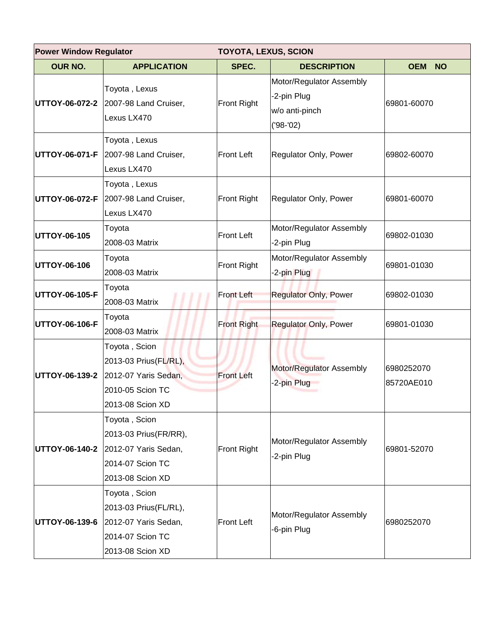| <b>Power Window Regulator</b> |                                                                                                         | <b>TOYOTA, LEXUS, SCION</b> |                                                                        |                          |  |
|-------------------------------|---------------------------------------------------------------------------------------------------------|-----------------------------|------------------------------------------------------------------------|--------------------------|--|
| <b>OUR NO.</b>                | <b>APPLICATION</b>                                                                                      | SPEC.                       | <b>DESCRIPTION</b>                                                     | <b>OEM</b><br><b>NO</b>  |  |
|                               | Toyota, Lexus<br><b>UTTOY-06-072-2</b> 2007-98 Land Cruiser,<br>Lexus LX470                             | <b>Front Right</b>          | Motor/Regulator Assembly<br>-2-pin Plug<br>w/o anti-pinch<br>('98-'02) | 69801-60070              |  |
| <b>UTTOY-06-071-F</b>         | Toyota, Lexus<br>2007-98 Land Cruiser,<br>Lexus LX470                                                   | Front Left                  | Regulator Only, Power                                                  | 69802-60070              |  |
| UTTOY-06-072-F                | Toyota, Lexus<br>2007-98 Land Cruiser,<br>Lexus LX470                                                   | Front Right                 | Regulator Only, Power                                                  | 69801-60070              |  |
| UTTOY-06-105                  | Toyota<br>2008-03 Matrix                                                                                | <b>Front Left</b>           | Motor/Regulator Assembly<br>-2-pin Plug                                | 69802-01030              |  |
| UTTOY-06-106                  | Toyota<br>2008-03 Matrix                                                                                | <b>Front Right</b>          | Motor/Regulator Assembly<br>-2-pin Plug                                | 69801-01030              |  |
| UTTOY-06-105-F                | Toyota<br>2008-03 Matrix                                                                                | <b>Front Left</b>           | <b>Regulator Only, Power</b>                                           | 69802-01030              |  |
| UTTOY-06-106-F                | Toyota<br>2008-03 Matrix                                                                                | <b>Front Right</b>          | <b>Regulator Only, Power</b>                                           | 69801-01030              |  |
| UTTOY-06-139-2                | Toyota, Scion<br>2013-03 Prius (FL/RL),<br>2012-07 Yaris Sedan,<br>2010-05 Scion TC<br>2013-08 Scion XD | <b>Front Left</b>           | Motor/Regulator Assembly<br>-2-pin Plug                                | 6980252070<br>85720AE010 |  |
| UTTOY-06-140-2                | Toyota, Scion<br>2013-03 Prius(FR/RR),<br>2012-07 Yaris Sedan,<br>2014-07 Scion TC<br>2013-08 Scion XD  | Front Right                 | Motor/Regulator Assembly<br>-2-pin Plug                                | 69801-52070              |  |
| UTTOY-06-139-6                | Toyota, Scion<br>2013-03 Prius(FL/RL),<br>2012-07 Yaris Sedan,<br>2014-07 Scion TC<br>2013-08 Scion XD  | Front Left                  | Motor/Regulator Assembly<br>-6-pin Plug                                | 6980252070               |  |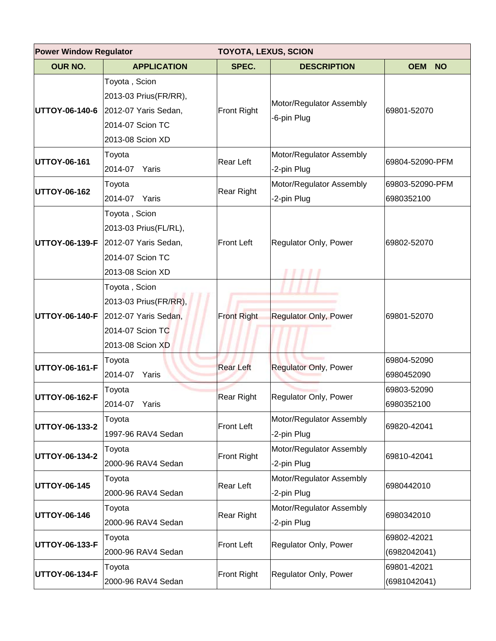| <b>Power Window Regulator</b><br><b>TOYOTA, LEXUS, SCION</b> |                                                                                                         |                    |                                         |                               |
|--------------------------------------------------------------|---------------------------------------------------------------------------------------------------------|--------------------|-----------------------------------------|-------------------------------|
| <b>OUR NO.</b>                                               | <b>APPLICATION</b>                                                                                      | SPEC.              | <b>DESCRIPTION</b>                      | <b>OEM</b><br><b>NO</b>       |
| UTTOY-06-140-6                                               | Toyota, Scion<br>2013-03 Prius(FR/RR),<br>2012-07 Yaris Sedan,<br>2014-07 Scion TC<br>2013-08 Scion XD  | Front Right        | Motor/Regulator Assembly<br>-6-pin Plug | 69801-52070                   |
| UTTOY-06-161                                                 | Toyota<br>2014-07<br>Yaris                                                                              | Rear Left          | Motor/Regulator Assembly<br>-2-pin Plug | 69804-52090-PFM               |
| UTTOY-06-162                                                 | Toyota<br>2014-07<br>Yaris                                                                              | <b>Rear Right</b>  | Motor/Regulator Assembly<br>-2-pin Plug | 69803-52090-PFM<br>6980352100 |
| UTTOY-06-139-F                                               | Toyota, Scion<br>2013-03 Prius(FL/RL),<br>2012-07 Yaris Sedan,<br>2014-07 Scion TC<br>2013-08 Scion XD  | <b>Front Left</b>  | Regulator Only, Power                   | 69802-52070                   |
| UTTOY-06-140-F                                               | Toyota, Scion<br>2013-03 Prius (FR/RR),<br>2012-07 Yaris Sedan,<br>2014-07 Scion TC<br>2013-08 Scion XD | <b>Front Right</b> | <b>Regulator Only, Power</b>            | 69801-52070                   |
| UTTOY-06-161-F                                               | Toyota<br>2014-07<br>Yaris                                                                              | <b>Rear Left</b>   | <b>Regulator Only, Power</b>            | 69804-52090<br>6980452090     |
| UTTOY-06-162-F                                               | Toyota<br>2014-07 Yaris                                                                                 | Rear Right         | Regulator Only, Power                   | 69803-52090<br>6980352100     |
| UTTOY-06-133-2                                               | Toyota<br>1997-96 RAV4 Sedan                                                                            | Front Left         | Motor/Regulator Assembly<br>-2-pin Plug | 69820-42041                   |
| UTTOY-06-134-2                                               | Toyota<br>2000-96 RAV4 Sedan                                                                            | Front Right        | Motor/Regulator Assembly<br>-2-pin Plug | 69810-42041                   |
| UTTOY-06-145                                                 | Toyota<br>2000-96 RAV4 Sedan                                                                            | Rear Left          | Motor/Regulator Assembly<br>-2-pin Plug | 6980442010                    |
| UTTOY-06-146                                                 | Toyota<br>2000-96 RAV4 Sedan                                                                            | Rear Right         | Motor/Regulator Assembly<br>-2-pin Plug | 6980342010                    |
| UTTOY-06-133-F                                               | Toyota<br>2000-96 RAV4 Sedan                                                                            | Front Left         | Regulator Only, Power                   | 69802-42021<br>(6982042041)   |
| UTTOY-06-134-F                                               | Toyota<br>2000-96 RAV4 Sedan                                                                            | Front Right        | Regulator Only, Power                   | 69801-42021<br>(6981042041)   |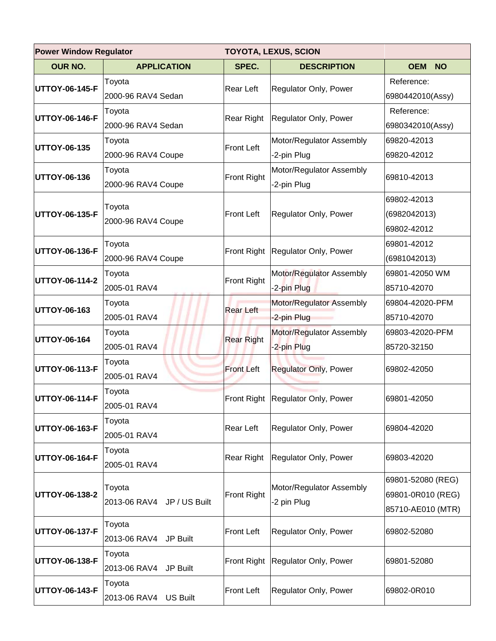| <b>Power Window Regulator</b><br><b>TOYOTA, LEXUS, SCION</b> |                                      |                    |                                         |                                                             |
|--------------------------------------------------------------|--------------------------------------|--------------------|-----------------------------------------|-------------------------------------------------------------|
| <b>OUR NO.</b>                                               | <b>APPLICATION</b>                   | SPEC.              | <b>DESCRIPTION</b>                      | <b>OEM</b><br><b>NO</b>                                     |
| UTTOY-06-145-F                                               | Toyota<br>2000-96 RAV4 Sedan         | <b>Rear Left</b>   | Regulator Only, Power                   | Reference:<br>6980442010(Assy)                              |
| UTTOY-06-146-F                                               | Toyota<br>2000-96 RAV4 Sedan         | Rear Right         | Regulator Only, Power                   | Reference:<br>6980342010(Assy)                              |
| UTTOY-06-135                                                 | Toyota<br>2000-96 RAV4 Coupe         | <b>Front Left</b>  | Motor/Regulator Assembly<br>-2-pin Plug | 69820-42013<br>69820-42012                                  |
| UTTOY-06-136                                                 | Toyota<br>2000-96 RAV4 Coupe         | <b>Front Right</b> | Motor/Regulator Assembly<br>-2-pin Plug | 69810-42013                                                 |
| UTTOY-06-135-F                                               | Toyota<br>2000-96 RAV4 Coupe         | <b>Front Left</b>  | Regulator Only, Power                   | 69802-42013<br>(6982042013)<br>69802-42012                  |
| UTTOY-06-136-F                                               | Toyota<br>2000-96 RAV4 Coupe         | <b>Front Right</b> | Regulator Only, Power                   | 69801-42012<br>(6981042013)                                 |
| UTTOY-06-114-2                                               | Toyota<br>2005-01 RAV4               | <b>Front Right</b> | Motor/Regulator Assembly<br>-2-pin Plug | 69801-42050 WM<br>85710-42070                               |
| UTTOY-06-163                                                 | Toyota<br>2005-01 RAV4               | <b>Rear Left</b>   | Motor/Regulator Assembly<br>-2-pin Plug | 69804-42020-PFM<br>85710-42070                              |
| UTTOY-06-164                                                 | Toyota<br>2005-01 RAV4               | <b>Rear Right</b>  | Motor/Regulator Assembly<br>-2-pin Plug | 69803-42020-PFM<br>85720-32150                              |
| UTTOY-06-113-F                                               | Toyota<br>2005-01 RAV4               | <b>Front Left</b>  | <b>Regulator Only, Power</b>            | 69802-42050                                                 |
| UTTOY-06-114-F                                               | Toyota<br>2005-01 RAV4               |                    | Front Right Regulator Only, Power       | 69801-42050                                                 |
| UTTOY-06-163-F                                               | Toyota<br>2005-01 RAV4               | Rear Left          | Regulator Only, Power                   | 69804-42020                                                 |
| UTTOY-06-164-F                                               | Toyota<br>2005-01 RAV4               | Rear Right         | Regulator Only, Power                   | 69803-42020                                                 |
| UTTOY-06-138-2                                               | Toyota<br>2013-06 RAV4 JP / US Built | <b>Front Right</b> | Motor/Regulator Assembly<br>-2 pin Plug | 69801-52080 (REG)<br>69801-0R010 (REG)<br>85710-AE010 (MTR) |
| UTTOY-06-137-F                                               | Toyota<br>2013-06 RAV4<br>JP Built   | <b>Front Left</b>  | Regulator Only, Power                   | 69802-52080                                                 |
| UTTOY-06-138-F                                               | Toyota<br>2013-06 RAV4<br>JP Built   | <b>Front Right</b> | Regulator Only, Power                   | 69801-52080                                                 |
| UTTOY-06-143-F                                               | Toyota<br>2013-06 RAV4 US Built      | <b>Front Left</b>  | Regulator Only, Power                   | 69802-0R010                                                 |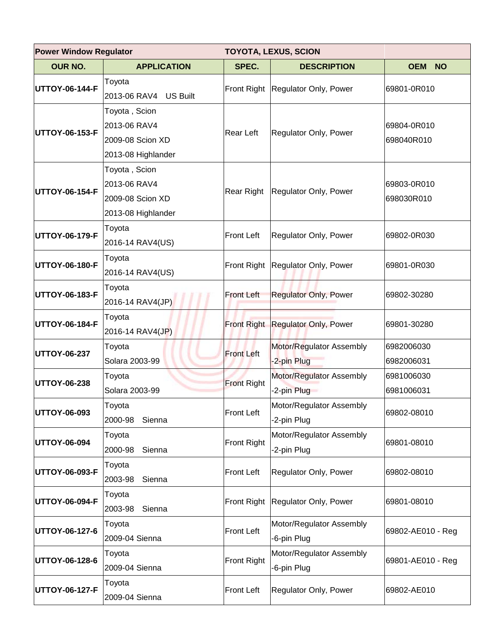| <b>Power Window Regulator</b><br><b>TOYOTA, LEXUS, SCION</b> |                                                                         |                    |                                         |                           |
|--------------------------------------------------------------|-------------------------------------------------------------------------|--------------------|-----------------------------------------|---------------------------|
| <b>OUR NO.</b>                                               | <b>APPLICATION</b>                                                      | SPEC.              | <b>DESCRIPTION</b>                      | <b>OEM</b><br><b>NO</b>   |
| UTTOY-06-144-F                                               | Toyota<br>2013-06 RAV4 US Built                                         | Front Right        | Regulator Only, Power                   | 69801-0R010               |
| UTTOY-06-153-F                                               | Toyota, Scion<br>2013-06 RAV4<br>2009-08 Scion XD<br>2013-08 Highlander | <b>Rear Left</b>   | Regulator Only, Power                   | 69804-0R010<br>698040R010 |
| UTTOY-06-154-F                                               | Toyota, Scion<br>2013-06 RAV4<br>2009-08 Scion XD<br>2013-08 Highlander | <b>Rear Right</b>  | Regulator Only, Power                   | 69803-0R010<br>698030R010 |
| UTTOY-06-179-F                                               | Toyota<br>2016-14 RAV4(US)                                              | <b>Front Left</b>  | Regulator Only, Power                   | 69802-0R030               |
| UTTOY-06-180-F                                               | Toyota<br>2016-14 RAV4(US)                                              | <b>Front Right</b> | Regulator Only, Power                   | 69801-0R030               |
| UTTOY-06-183-F                                               | Toyota<br>2016-14 RAV4(JP)                                              | <b>Front Left</b>  | <b>Regulator Only, Power</b>            | 69802-30280               |
| UTTOY-06-184-F                                               | Toyota<br>2016-14 RAV4(JP)                                              |                    | Front Right Regulator Only, Power       | 69801-30280               |
| UTTOY-06-237                                                 | Toyota<br>Solara 2003-99                                                | <b>Front Left</b>  | Motor/Regulator Assembly<br>-2-pin Plug | 6982006030<br>6982006031  |
| UTTOY-06-238                                                 | Toyota<br>Solara 2003-99                                                | <b>Front Right</b> | Motor/Regulator Assembly<br>-2-pin Plug | 6981006030<br>6981006031  |
| UTTOY-06-093                                                 | Toyota<br>2000-98<br>Sienna                                             | <b>Front Left</b>  | Motor/Regulator Assembly<br>-2-pin Plug | 69802-08010               |
| UTTOY-06-094                                                 | Toyota<br>2000-98<br>Sienna                                             | Front Right        | Motor/Regulator Assembly<br>-2-pin Plug | 69801-08010               |
| UTTOY-06-093-F                                               | Toyota<br>2003-98<br>Sienna                                             | <b>Front Left</b>  | Regulator Only, Power                   | 69802-08010               |
| UTTOY-06-094-F                                               | Toyota<br>2003-98<br>Sienna                                             | <b>Front Right</b> | Regulator Only, Power                   | 69801-08010               |
| UTTOY-06-127-6                                               | Toyota<br>2009-04 Sienna                                                | <b>Front Left</b>  | Motor/Regulator Assembly<br>-6-pin Plug | 69802-AE010 - Reg         |
| UTTOY-06-128-6                                               | Toyota<br>2009-04 Sienna                                                | <b>Front Right</b> | Motor/Regulator Assembly<br>-6-pin Plug | 69801-AE010 - Reg         |
| UTTOY-06-127-F                                               | Toyota<br>2009-04 Sienna                                                | <b>Front Left</b>  | Regulator Only, Power                   | 69802-AE010               |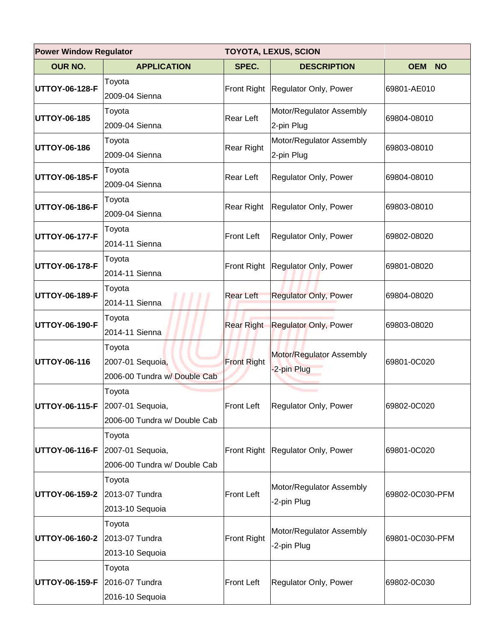| <b>Power Window Regulator</b><br><b>TOYOTA, LEXUS, SCION</b> |                                                            |                    |                                         |                         |
|--------------------------------------------------------------|------------------------------------------------------------|--------------------|-----------------------------------------|-------------------------|
| <b>OUR NO.</b>                                               | <b>APPLICATION</b>                                         | SPEC.              | <b>DESCRIPTION</b>                      | <b>OEM</b><br><b>NO</b> |
| UTTOY-06-128-F                                               | Toyota<br>2009-04 Sienna                                   | Front Right        | Regulator Only, Power                   | 69801-AE010             |
| UTTOY-06-185                                                 | Toyota<br>2009-04 Sienna                                   | Rear Left          | Motor/Regulator Assembly<br>2-pin Plug  | 69804-08010             |
| UTTOY-06-186                                                 | Toyota<br>2009-04 Sienna                                   | <b>Rear Right</b>  | Motor/Regulator Assembly<br>2-pin Plug  | 69803-08010             |
| UTTOY-06-185-F                                               | Toyota<br>2009-04 Sienna                                   | <b>Rear Left</b>   | Regulator Only, Power                   | 69804-08010             |
| UTTOY-06-186-F                                               | Toyota<br>2009-04 Sienna                                   | Rear Right         | Regulator Only, Power                   | 69803-08010             |
| UTTOY-06-177-F                                               | Toyota<br>2014-11 Sienna                                   | <b>Front Left</b>  | Regulator Only, Power                   | 69802-08020             |
| UTTOY-06-178-F                                               | Toyota<br>2014-11 Sienna                                   |                    | Front Right Regulator Only, Power       | 69801-08020             |
| UTTOY-06-189-F                                               | Toyota<br>2014-11 Sienna                                   | <b>Rear Left</b>   | <b>Regulator Only, Power</b>            | 69804-08020             |
| UTTOY-06-190-F                                               | Toyota<br>2014-11 Sienna                                   | <b>Rear Right</b>  | <b>Regulator Only, Power</b>            | 69803-08020             |
| UTTOY-06-116                                                 | Toyota<br>2007-01 Sequoia,<br>2006-00 Tundra w/ Double Cab | <b>Front Right</b> | Motor/Regulator Assembly<br>-2-pin Plug | 69801-0C020             |
| UTTOY-06-115-F 2007-01 Sequoia,                              | Toyota<br>2006-00 Tundra w/ Double Cab                     | <b>Front Left</b>  | Regulator Only, Power                   | 69802-0C020             |
| UTTOY-06-116-F 2007-01 Sequoia,                              | Toyota<br>2006-00 Tundra w/ Double Cab                     |                    | Front Right Regulator Only, Power       | 69801-0C020             |
| UTTOY-06-159-2                                               | Toyota<br>2013-07 Tundra<br>2013-10 Sequoia                | <b>Front Left</b>  | Motor/Regulator Assembly<br>-2-pin Plug | 69802-0C030-PFM         |
| UTTOY-06-160-2                                               | Toyota<br>2013-07 Tundra<br>2013-10 Sequoia                | <b>Front Right</b> | Motor/Regulator Assembly<br>-2-pin Plug | 69801-0C030-PFM         |
| UTTOY-06-159-F                                               | Toyota<br>2016-07 Tundra<br>2016-10 Sequoia                | <b>Front Left</b>  | Regulator Only, Power                   | 69802-0C030             |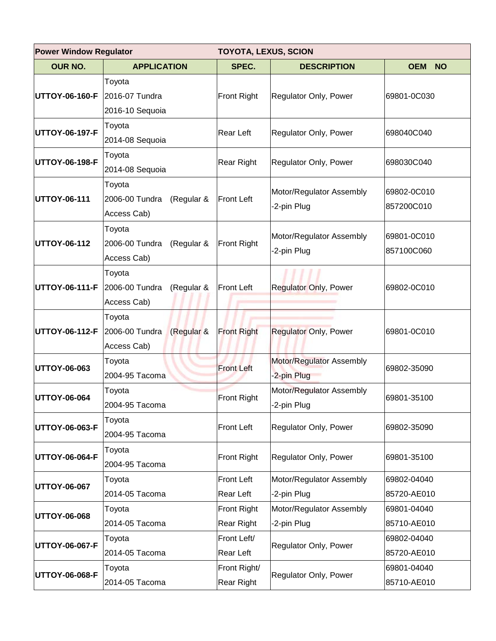| <b>Power Window Regulator</b><br><b>TOYOTA, LEXUS, SCION</b> |                              |                          |                                         |                         |
|--------------------------------------------------------------|------------------------------|--------------------------|-----------------------------------------|-------------------------|
| <b>OUR NO.</b>                                               | <b>APPLICATION</b>           | SPEC.                    | <b>DESCRIPTION</b>                      | <b>OEM</b><br><b>NO</b> |
| UTTOY-06-160-F                                               | Toyota                       | Front Right              | Regulator Only, Power                   | 69801-0C030             |
|                                                              | 2016-07 Tundra               |                          |                                         |                         |
|                                                              | 2016-10 Sequoia              |                          |                                         |                         |
| UTTOY-06-197-F                                               | Toyota                       | <b>Rear Left</b>         | Regulator Only, Power                   | 698040C040              |
|                                                              | 2014-08 Sequoia              |                          |                                         |                         |
| UTTOY-06-198-F                                               | Toyota                       | Rear Right               | Regulator Only, Power                   | 698030C040              |
|                                                              | 2014-08 Sequoia              |                          |                                         |                         |
|                                                              | Toyota                       | <b>Front Left</b>        | Motor/Regulator Assembly<br>2-pin Plug  | 69802-0C010             |
| UTTOY-06-111                                                 | 2006-00 Tundra<br>(Regular & |                          |                                         | 857200C010              |
|                                                              | Access Cab)                  |                          |                                         |                         |
|                                                              | Toyota                       |                          | Motor/Regulator Assembly<br>-2-pin Plug | 69801-0C010             |
| <b>UTTOY-06-112</b>                                          | 2006-00 Tundra<br>(Regular & | Front Right              |                                         | 857100C060              |
|                                                              | Access Cab)                  |                          |                                         |                         |
|                                                              | Toyota                       | <b>Front Left</b>        | <b>Regulator Only, Power</b>            | 69802-0C010             |
| UTTOY-06-111-F                                               | 2006-00 Tundra<br>(Regular & |                          |                                         |                         |
|                                                              | Access Cab)                  |                          |                                         |                         |
|                                                              | Toyota                       | <b>Front Right</b>       | <b>Regulator Only, Power</b>            | 69801-0C010             |
| UTTOY-06-112-F 2006-00 Tundra                                | (Regular &                   |                          |                                         |                         |
|                                                              | Access Cab)                  |                          |                                         |                         |
| UTTOY-06-063                                                 | Toyota                       | <b>Front Left</b>        | Motor/Regulator Assembly                | 69802-35090             |
|                                                              | 2004-95 Tacoma               |                          | -2-pin Plug                             |                         |
| UTTOY-06-064                                                 | Toyota                       | Front Right              | Motor/Regulator Assembly                | 69801-35100             |
|                                                              | 2004-95 Tacoma               |                          | -2-pin Plug                             |                         |
| UTTOY-06-063-F                                               | Toyota                       | <b>Front Left</b>        | Regulator Only, Power                   | 69802-35090             |
|                                                              | 2004-95 Tacoma               |                          |                                         |                         |
| UTTOY-06-064-F                                               | Toyota                       | Front Right              | Regulator Only, Power                   | 69801-35100             |
|                                                              | 2004-95 Tacoma               |                          |                                         |                         |
| UTTOY-06-067                                                 | Toyota                       | Front Left               | Motor/Regulator Assembly                | 69802-04040             |
|                                                              | 2014-05 Tacoma               | Rear Left                | -2-pin Plug                             | 85720-AE010             |
| UTTOY-06-068                                                 | Toyota                       | Front Right              | Motor/Regulator Assembly                | 69801-04040             |
|                                                              | 2014-05 Tacoma               | Rear Right               | -2-pin Plug                             | 85710-AE010             |
| UTTOY-06-067-F                                               | Toyota                       | Front Left/<br>Rear Left | Regulator Only, Power                   | 69802-04040             |
|                                                              | 2014-05 Tacoma               |                          |                                         | 85720-AE010             |
| UTTOY-06-068-F                                               | Toyota                       | Front Right/             | Regulator Only, Power                   | 69801-04040             |
|                                                              | 2014-05 Tacoma               | Rear Right               |                                         | 85710-AE010             |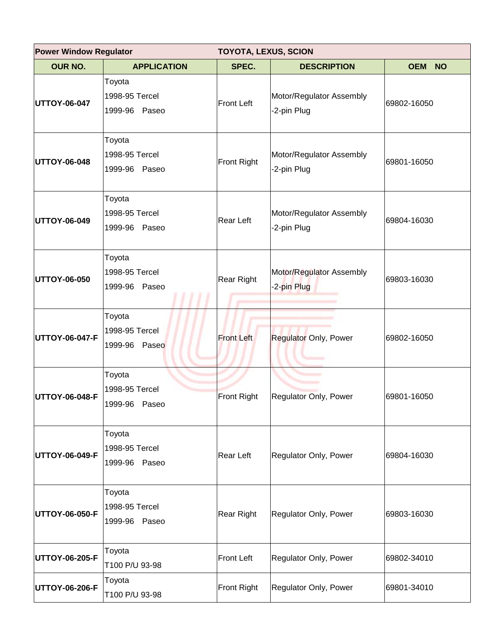| <b>Power Window Regulator</b> |                                              | <b>TOYOTA, LEXUS, SCION</b> |                                         |                         |  |
|-------------------------------|----------------------------------------------|-----------------------------|-----------------------------------------|-------------------------|--|
| <b>OUR NO.</b>                | <b>APPLICATION</b>                           | SPEC.                       | <b>DESCRIPTION</b>                      | <b>OEM</b><br><b>NO</b> |  |
| UTTOY-06-047                  | Toyota<br>1998-95 Tercel<br>1999-96 Paseo    | <b>Front Left</b>           | Motor/Regulator Assembly<br>-2-pin Plug | 69802-16050             |  |
| UTTOY-06-048                  | Toyota<br>1998-95 Tercel<br>1999-96 Paseo    | <b>Front Right</b>          | Motor/Regulator Assembly<br>-2-pin Plug | 69801-16050             |  |
| UTTOY-06-049                  | Toyota<br>1998-95 Tercel<br>1999-96<br>Paseo | <b>Rear Left</b>            | Motor/Regulator Assembly<br>-2-pin Plug | 69804-16030             |  |
| UTTOY-06-050                  | Toyota<br>1998-95 Tercel<br>1999-96<br>Paseo | <b>Rear Right</b>           | Motor/Regulator Assembly<br>-2-pin Plug | 69803-16030             |  |
| UTTOY-06-047-F                | Toyota<br>1998-95 Tercel<br>1999-96<br>Paseo | <b>Front Left</b>           | <b>Regulator Only, Power</b>            | 69802-16050             |  |
| UTTOY-06-048-F                | Toyota<br>1998-95 Tercel<br>1999-96 Paseo    | Front Right                 | Regulator Only, Power                   | 69801-16050             |  |
| UTTOY-06-049-F                | Toyota<br>1998-95 Tercel<br>1999-96 Paseo    | Rear Left                   | Regulator Only, Power                   | 69804-16030             |  |
| UTTOY-06-050-F                | Toyota<br>1998-95 Tercel<br>1999-96 Paseo    | Rear Right                  | Regulator Only, Power                   | 69803-16030             |  |
| UTTOY-06-205-F                | Toyota<br>T100 P/U 93-98                     | <b>Front Left</b>           | Regulator Only, Power                   | 69802-34010             |  |
| UTTOY-06-206-F                | Toyota<br>T100 P/U 93-98                     | Front Right                 | Regulator Only, Power                   | 69801-34010             |  |